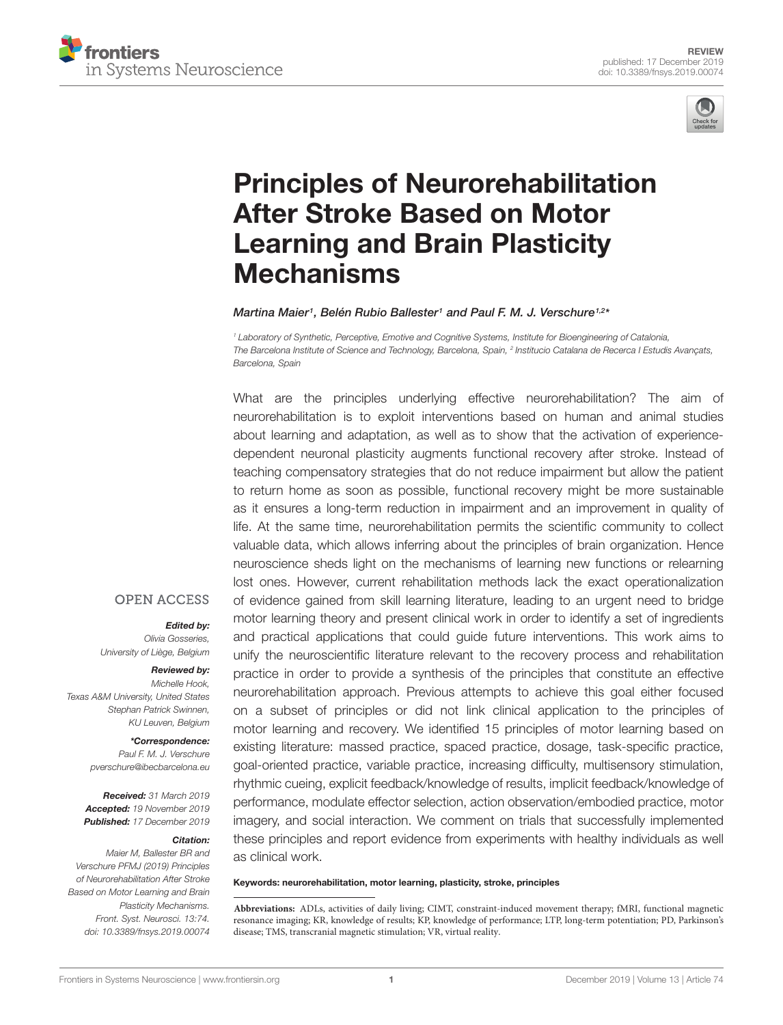



# [Principles of Neurorehabilitation](https://www.frontiersin.org/articles/10.3389/fnsys.2019.00074/full) After Stroke Based on Motor Learning and Brain Plasticity Mechanisms

#### [Martina Maier](http://loop.frontiersin.org/people/637539/overview)<sup>1</sup>, [Belén Rubio Ballester](http://loop.frontiersin.org/people/625350/overview)<sup>1</sup> and [Paul F. M. J. Verschure](http://loop.frontiersin.org/people/5803/overview)<sup>1,2\*</sup>

<sup>1</sup> Laboratory of Synthetic, Perceptive, Emotive and Cognitive Systems, Institute for Bioengineering of Catalonia, The Barcelona Institute of Science and Technology, Barcelona, Spain, <sup>2</sup> Institucio Catalana de Recerca I Estudis Avançats, Barcelona, Spain

What are the principles underlying effective neurorehabilitation? The aim of neurorehabilitation is to exploit interventions based on human and animal studies about learning and adaptation, as well as to show that the activation of experiencedependent neuronal plasticity augments functional recovery after stroke. Instead of teaching compensatory strategies that do not reduce impairment but allow the patient to return home as soon as possible, functional recovery might be more sustainable as it ensures a long-term reduction in impairment and an improvement in quality of life. At the same time, neurorehabilitation permits the scientific community to collect valuable data, which allows inferring about the principles of brain organization. Hence neuroscience sheds light on the mechanisms of learning new functions or relearning lost ones. However, current rehabilitation methods lack the exact operationalization of evidence gained from skill learning literature, leading to an urgent need to bridge motor learning theory and present clinical work in order to identify a set of ingredients and practical applications that could guide future interventions. This work aims to unify the neuroscientific literature relevant to the recovery process and rehabilitation practice in order to provide a synthesis of the principles that constitute an effective neurorehabilitation approach. Previous attempts to achieve this goal either focused on a subset of principles or did not link clinical application to the principles of motor learning and recovery. We identified 15 principles of motor learning based on existing literature: massed practice, spaced practice, dosage, task-specific practice, goal-oriented practice, variable practice, increasing difficulty, multisensory stimulation, rhythmic cueing, explicit feedback/knowledge of results, implicit feedback/knowledge of performance, modulate effector selection, action observation/embodied practice, motor imagery, and social interaction. We comment on trials that successfully implemented these principles and report evidence from experiments with healthy individuals as well as clinical work.

#### Keywords: neurorehabilitation, motor learning, plasticity, stroke, principles

#### **OPEN ACCESS**

#### Edited by:

Olivia Gosseries, University of Liège, Belgium

#### Reviewed by:

Michelle Hook, Texas A&M University, United States Stephan Patrick Swinnen, KU Leuven, Belgium

#### \*Correspondence: Paul F. M. J. Verschure

pverschure@ibecbarcelona.eu

Received: 31 March 2019 Accepted: 19 November 2019 Published: 17 December 2019

#### Citation:

Maier M, Ballester BR and Verschure PFMJ (2019) Principles of Neurorehabilitation After Stroke Based on Motor Learning and Brain Plasticity Mechanisms. Front. Syst. Neurosci. 13:74. doi: [10.3389/fnsys.2019.00074](https://doi.org/10.3389/fnsys.2019.00074)

**Abbreviations:** ADLs, activities of daily living; CIMT, constraint-induced movement therapy; fMRI, functional magnetic resonance imaging; KR, knowledge of results; KP, knowledge of performance; LTP, long-term potentiation; PD, Parkinson's disease; TMS, transcranial magnetic stimulation; VR, virtual reality.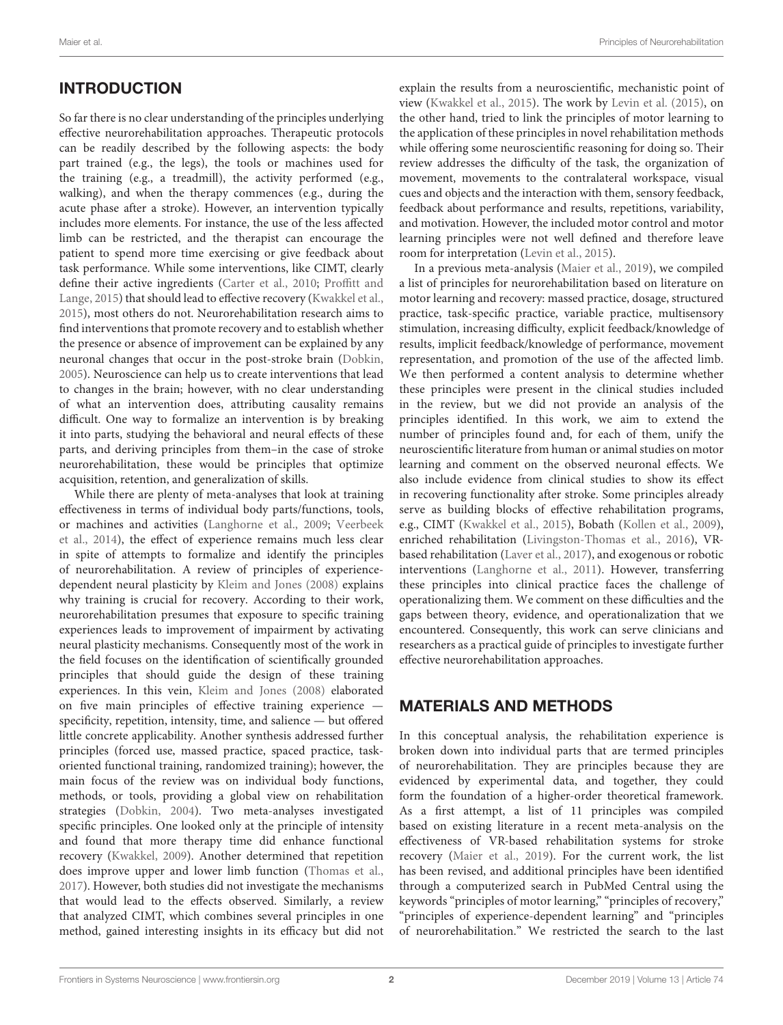# **INTRODUCTION**

So far there is no clear understanding of the principles underlying effective neurorehabilitation approaches. Therapeutic protocols can be readily described by the following aspects: the body part trained (e.g., the legs), the tools or machines used for the training (e.g., a treadmill), the activity performed (e.g., walking), and when the therapy commences (e.g., during the acute phase after a stroke). However, an intervention typically includes more elements. For instance, the use of the less affected limb can be restricted, and the therapist can encourage the patient to spend more time exercising or give feedback about task performance. While some interventions, like CIMT, clearly define their active ingredients [\(Carter et al.,](#page-12-0) [2010;](#page-12-0) [Proffitt and](#page-15-0) [Lange,](#page-15-0) [2015\)](#page-15-0) that should lead to effective recovery [\(Kwakkel et al.,](#page-14-0) [2015\)](#page-14-0), most others do not. Neurorehabilitation research aims to find interventions that promote recovery and to establish whether the presence or absence of improvement can be explained by any neuronal changes that occur in the post-stroke brain [\(Dobkin,](#page-12-1) [2005\)](#page-12-1). Neuroscience can help us to create interventions that lead to changes in the brain; however, with no clear understanding of what an intervention does, attributing causality remains difficult. One way to formalize an intervention is by breaking it into parts, studying the behavioral and neural effects of these parts, and deriving principles from them–in the case of stroke neurorehabilitation, these would be principles that optimize acquisition, retention, and generalization of skills.

While there are plenty of meta-analyses that look at training effectiveness in terms of individual body parts/functions, tools, or machines and activities [\(Langhorne et al.,](#page-14-1) [2009;](#page-14-1) [Veerbeek](#page-16-0) [et al.,](#page-16-0) [2014\)](#page-16-0), the effect of experience remains much less clear in spite of attempts to formalize and identify the principles of neurorehabilitation. A review of principles of experiencedependent neural plasticity by [Kleim and Jones](#page-14-2) [\(2008\)](#page-14-2) explains why training is crucial for recovery. According to their work, neurorehabilitation presumes that exposure to specific training experiences leads to improvement of impairment by activating neural plasticity mechanisms. Consequently most of the work in the field focuses on the identification of scientifically grounded principles that should guide the design of these training experiences. In this vein, [Kleim and Jones](#page-14-2) [\(2008\)](#page-14-2) elaborated on five main principles of effective training experience specificity, repetition, intensity, time, and salience — but offered little concrete applicability. Another synthesis addressed further principles (forced use, massed practice, spaced practice, taskoriented functional training, randomized training); however, the main focus of the review was on individual body functions, methods, or tools, providing a global view on rehabilitation strategies [\(Dobkin,](#page-12-2) [2004\)](#page-12-2). Two meta-analyses investigated specific principles. One looked only at the principle of intensity and found that more therapy time did enhance functional recovery [\(Kwakkel,](#page-14-3) [2009\)](#page-14-3). Another determined that repetition does improve upper and lower limb function [\(Thomas et al.,](#page-16-1) [2017\)](#page-16-1). However, both studies did not investigate the mechanisms that would lead to the effects observed. Similarly, a review that analyzed CIMT, which combines several principles in one method, gained interesting insights in its efficacy but did not

explain the results from a neuroscientific, mechanistic point of view [\(Kwakkel et al.,](#page-14-0) [2015\)](#page-14-0). The work by [Levin et al.](#page-14-4) [\(2015\)](#page-14-4), on the other hand, tried to link the principles of motor learning to the application of these principles in novel rehabilitation methods while offering some neuroscientific reasoning for doing so. Their review addresses the difficulty of the task, the organization of movement, movements to the contralateral workspace, visual cues and objects and the interaction with them, sensory feedback, feedback about performance and results, repetitions, variability, and motivation. However, the included motor control and motor learning principles were not well defined and therefore leave room for interpretation [\(Levin et al.,](#page-14-4) [2015\)](#page-14-4).

In a previous meta-analysis [\(Maier et al.,](#page-14-5) [2019\)](#page-14-5), we compiled a list of principles for neurorehabilitation based on literature on motor learning and recovery: massed practice, dosage, structured practice, task-specific practice, variable practice, multisensory stimulation, increasing difficulty, explicit feedback/knowledge of results, implicit feedback/knowledge of performance, movement representation, and promotion of the use of the affected limb. We then performed a content analysis to determine whether these principles were present in the clinical studies included in the review, but we did not provide an analysis of the principles identified. In this work, we aim to extend the number of principles found and, for each of them, unify the neuroscientific literature from human or animal studies on motor learning and comment on the observed neuronal effects. We also include evidence from clinical studies to show its effect in recovering functionality after stroke. Some principles already serve as building blocks of effective rehabilitation programs, e.g., CIMT [\(Kwakkel et al.,](#page-14-0) [2015\)](#page-14-0), Bobath [\(Kollen et al.,](#page-14-6) [2009\)](#page-14-6), enriched rehabilitation [\(Livingston-Thomas et al.,](#page-14-7) [2016\)](#page-14-7), VRbased rehabilitation [\(Laver et al.,](#page-14-8) [2017\)](#page-14-8), and exogenous or robotic interventions [\(Langhorne et al.,](#page-14-9) [2011\)](#page-14-9). However, transferring these principles into clinical practice faces the challenge of operationalizing them. We comment on these difficulties and the gaps between theory, evidence, and operationalization that we encountered. Consequently, this work can serve clinicians and researchers as a practical guide of principles to investigate further effective neurorehabilitation approaches.

#### MATERIALS AND METHODS

In this conceptual analysis, the rehabilitation experience is broken down into individual parts that are termed principles of neurorehabilitation. They are principles because they are evidenced by experimental data, and together, they could form the foundation of a higher-order theoretical framework. As a first attempt, a list of 11 principles was compiled based on existing literature in a recent meta-analysis on the effectiveness of VR-based rehabilitation systems for stroke recovery [\(Maier et al.,](#page-14-5) [2019\)](#page-14-5). For the current work, the list has been revised, and additional principles have been identified through a computerized search in PubMed Central using the keywords "principles of motor learning," "principles of recovery," "principles of experience-dependent learning" and "principles of neurorehabilitation." We restricted the search to the last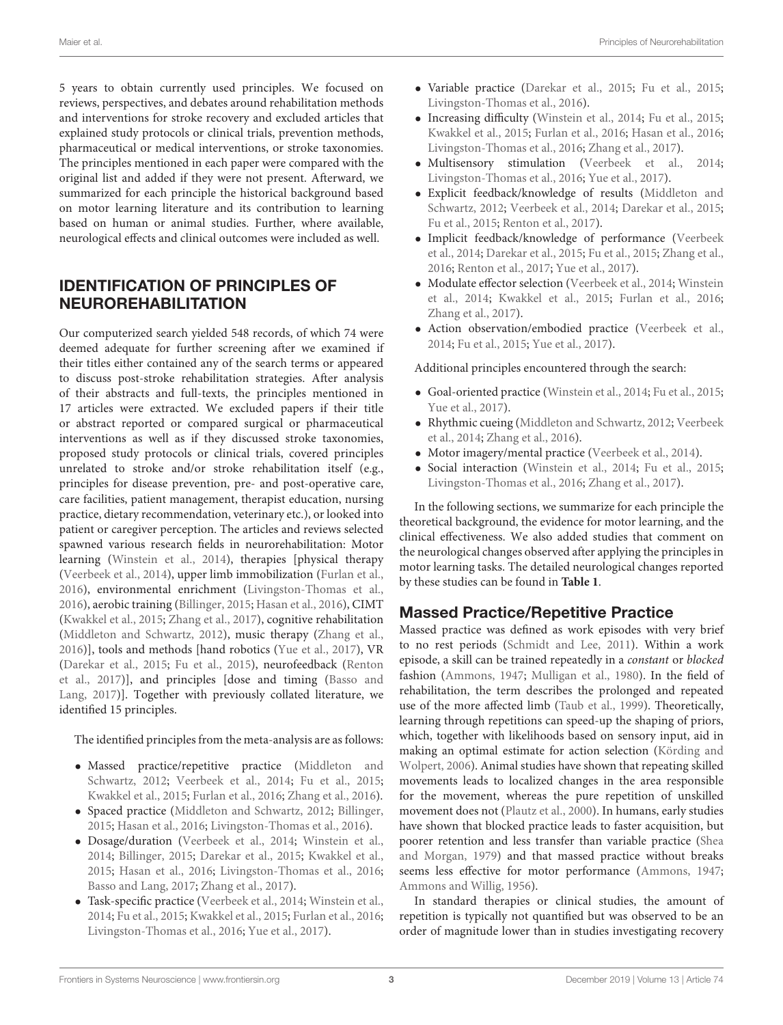5 years to obtain currently used principles. We focused on reviews, perspectives, and debates around rehabilitation methods and interventions for stroke recovery and excluded articles that explained study protocols or clinical trials, prevention methods, pharmaceutical or medical interventions, or stroke taxonomies. The principles mentioned in each paper were compared with the original list and added if they were not present. Afterward, we summarized for each principle the historical background based on motor learning literature and its contribution to learning based on human or animal studies. Further, where available, neurological effects and clinical outcomes were included as well.

# IDENTIFICATION OF PRINCIPLES OF NEUROREHABILITATION

Our computerized search yielded 548 records, of which 74 were deemed adequate for further screening after we examined if their titles either contained any of the search terms or appeared to discuss post-stroke rehabilitation strategies. After analysis of their abstracts and full-texts, the principles mentioned in 17 articles were extracted. We excluded papers if their title or abstract reported or compared surgical or pharmaceutical interventions as well as if they discussed stroke taxonomies, proposed study protocols or clinical trials, covered principles unrelated to stroke and/or stroke rehabilitation itself (e.g., principles for disease prevention, pre- and post-operative care, care facilities, patient management, therapist education, nursing practice, dietary recommendation, veterinary etc.), or looked into patient or caregiver perception. The articles and reviews selected spawned various research fields in neurorehabilitation: Motor learning [\(Winstein et al.,](#page-16-2) [2014\)](#page-16-2), therapies [physical therapy [\(Veerbeek et al.,](#page-16-0) [2014\)](#page-16-0), upper limb immobilization [\(Furlan et al.,](#page-12-3) [2016\)](#page-12-3), environmental enrichment [\(Livingston-Thomas et al.,](#page-14-7) [2016\)](#page-14-7), aerobic training [\(Billinger,](#page-12-4) [2015;](#page-12-4) [Hasan et al.,](#page-13-0) [2016\)](#page-13-0), CIMT [\(Kwakkel et al.,](#page-14-0) [2015;](#page-14-0) [Zhang et al.,](#page-17-0) [2017\)](#page-17-0), cognitive rehabilitation [\(Middleton and Schwartz,](#page-14-10) [2012\)](#page-14-10), music therapy [\(Zhang et al.,](#page-17-1) [2016\)](#page-17-1)], tools and methods [hand robotics [\(Yue et al.,](#page-17-2) [2017\)](#page-17-2), VR [\(Darekar et al.,](#page-12-5) [2015;](#page-12-5) [Fu et al.,](#page-12-6) [2015\)](#page-12-6), neurofeedback [\(Renton](#page-15-1) [et al.,](#page-15-1) [2017\)](#page-15-1)], and principles [dose and timing [\(Basso and](#page-12-7) [Lang,](#page-12-7) [2017\)](#page-12-7)]. Together with previously collated literature, we identified 15 principles.

#### The identified principles from the meta-analysis are as follows:

- Massed practice/repetitive practice [\(Middleton and](#page-14-10) [Schwartz,](#page-14-10) [2012;](#page-14-10) [Veerbeek et al.,](#page-16-0) [2014;](#page-16-0) [Fu et al.,](#page-12-6) [2015;](#page-12-6) [Kwakkel et al.,](#page-14-0) [2015;](#page-14-0) [Furlan et al.,](#page-12-3) [2016;](#page-12-3) [Zhang et al.,](#page-17-1) [2016\)](#page-17-1).
- Spaced practice [\(Middleton and Schwartz,](#page-14-10) [2012;](#page-14-10) [Billinger,](#page-12-4) [2015;](#page-12-4) [Hasan et al.,](#page-13-0) [2016;](#page-13-0) [Livingston-Thomas et al.,](#page-14-7) [2016\)](#page-14-7).
- Dosage/duration [\(Veerbeek et al.,](#page-16-0) [2014;](#page-16-0) [Winstein et al.,](#page-16-2) [2014;](#page-16-2) [Billinger,](#page-12-4) [2015;](#page-12-4) [Darekar et al.,](#page-12-5) [2015;](#page-12-5) [Kwakkel et al.,](#page-14-0) [2015;](#page-14-0) [Hasan et al.,](#page-13-0) [2016;](#page-13-0) [Livingston-Thomas et al.,](#page-14-7) [2016;](#page-14-7) [Basso and Lang,](#page-12-7) [2017;](#page-12-7) [Zhang et al.,](#page-17-0) [2017\)](#page-17-0).
- Task-specific practice [\(Veerbeek et al.,](#page-16-0) [2014;](#page-16-0) [Winstein et al.,](#page-16-2) [2014;](#page-16-2) [Fu et al.,](#page-12-6) [2015;](#page-12-6) [Kwakkel et al.,](#page-14-0) [2015;](#page-14-0) [Furlan et al.,](#page-12-3) [2016;](#page-12-3) [Livingston-Thomas et al.,](#page-14-7) [2016;](#page-14-7) [Yue et al.,](#page-17-2) [2017\)](#page-17-2).
- Variable practice [\(Darekar et al.,](#page-12-5) [2015;](#page-12-5) [Fu et al.,](#page-12-6) [2015;](#page-12-6) [Livingston-Thomas et al.,](#page-14-7) [2016\)](#page-14-7).
- Increasing difficulty [\(Winstein et al.,](#page-16-2) [2014;](#page-16-2) [Fu et al.,](#page-12-6) [2015;](#page-12-6) [Kwakkel et al.,](#page-14-0) [2015;](#page-14-0) [Furlan et al.,](#page-12-3) [2016;](#page-12-3) [Hasan et al.,](#page-13-0) [2016;](#page-13-0) [Livingston-Thomas et al.,](#page-14-7) [2016;](#page-14-7) [Zhang et al.,](#page-17-0) [2017\)](#page-17-0).
- Multisensory stimulation [\(Veerbeek et al.,](#page-16-0) [2014;](#page-16-0) [Livingston-Thomas et al.,](#page-14-7) [2016;](#page-14-7) [Yue et al.,](#page-17-2) [2017\)](#page-17-2).
- Explicit feedback/knowledge of results [\(Middleton and](#page-14-10) [Schwartz,](#page-14-10) [2012;](#page-14-10) [Veerbeek et al.,](#page-16-0) [2014;](#page-16-0) [Darekar et al.,](#page-12-5) [2015;](#page-12-5) [Fu et al.,](#page-12-6) [2015;](#page-12-6) [Renton et al.,](#page-15-1) [2017\)](#page-15-1).
- Implicit feedback/knowledge of performance [\(Veerbeek](#page-16-0) [et al.,](#page-16-0) [2014;](#page-16-0) [Darekar et al.,](#page-12-5) [2015;](#page-12-5) [Fu et al.,](#page-12-6) [2015;](#page-12-6) [Zhang et al.,](#page-17-1) [2016;](#page-17-1) [Renton et al.,](#page-15-1) [2017;](#page-15-1) [Yue et al.,](#page-17-2) [2017\)](#page-17-2).
- Modulate effector selection [\(Veerbeek et al.,](#page-16-0) [2014;](#page-16-0) [Winstein](#page-16-2) [et al.,](#page-16-2) [2014;](#page-16-2) [Kwakkel et al.,](#page-14-0) [2015;](#page-14-0) [Furlan et al.,](#page-12-3) [2016;](#page-12-3) [Zhang et al.,](#page-17-0) [2017\)](#page-17-0).
- Action observation/embodied practice [\(Veerbeek et al.,](#page-16-0) [2014;](#page-16-0) [Fu et al.,](#page-12-6) [2015;](#page-12-6) [Yue et al.,](#page-17-2) [2017\)](#page-17-2).

#### Additional principles encountered through the search:

- Goal-oriented practice [\(Winstein et al.,](#page-16-2) [2014;](#page-16-2) [Fu et al.,](#page-12-6) [2015;](#page-12-6) [Yue et al.,](#page-17-2) [2017\)](#page-17-2).
- Rhythmic cueing [\(Middleton and Schwartz,](#page-14-10) [2012;](#page-14-10) [Veerbeek](#page-16-0) [et al.,](#page-16-0) [2014;](#page-16-0) [Zhang et al.,](#page-17-1) [2016\)](#page-17-1).
- Motor imagery/mental practice [\(Veerbeek et al.,](#page-16-0) [2014\)](#page-16-0).
- Social interaction [\(Winstein et al.,](#page-16-2) [2014;](#page-16-2) [Fu et al.,](#page-12-6) [2015;](#page-12-6) [Livingston-Thomas et al.,](#page-14-7) [2016;](#page-14-7) [Zhang et al.,](#page-17-0) [2017\)](#page-17-0).

In the following sections, we summarize for each principle the theoretical background, the evidence for motor learning, and the clinical effectiveness. We also added studies that comment on the neurological changes observed after applying the principles in motor learning tasks. The detailed neurological changes reported by these studies can be found in **[Table 1](#page-3-0)**.

### Massed Practice/Repetitive Practice

Massed practice was defined as work episodes with very brief to no rest periods [\(Schmidt and Lee,](#page-15-2) [2011\)](#page-15-2). Within a work episode, a skill can be trained repeatedly in a constant or blocked fashion [\(Ammons,](#page-11-0) [1947;](#page-11-0) [Mulligan et al.,](#page-14-11) [1980\)](#page-14-11). In the field of rehabilitation, the term describes the prolonged and repeated use of the more affected limb [\(Taub et al.,](#page-16-3) [1999\)](#page-16-3). Theoretically, learning through repetitions can speed-up the shaping of priors, which, together with likelihoods based on sensory input, aid in making an optimal estimate for action selection [\(Körding and](#page-14-12) [Wolpert,](#page-14-12) [2006\)](#page-14-12). Animal studies have shown that repeating skilled movements leads to localized changes in the area responsible for the movement, whereas the pure repetition of unskilled movement does not [\(Plautz et al.,](#page-15-3) [2000\)](#page-15-3). In humans, early studies have shown that blocked practice leads to faster acquisition, but poorer retention and less transfer than variable practice [\(Shea](#page-15-4) [and Morgan,](#page-15-4) [1979\)](#page-15-4) and that massed practice without breaks seems less effective for motor performance [\(Ammons,](#page-11-0) [1947;](#page-11-0) [Ammons and Willig,](#page-11-1) [1956\)](#page-11-1).

In standard therapies or clinical studies, the amount of repetition is typically not quantified but was observed to be an order of magnitude lower than in studies investigating recovery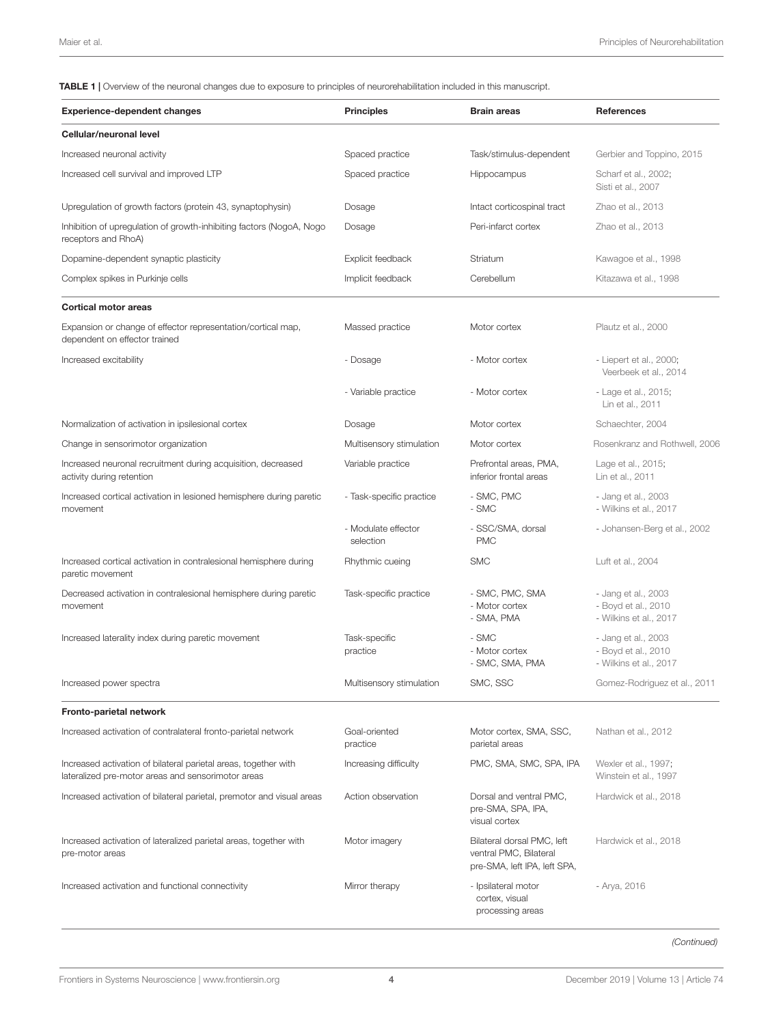<span id="page-3-0"></span>TABLE 1 | Overview of the neuronal changes due to exposure to principles of neurorehabilitation included in this manuscript.

| <b>Experience-dependent changes</b>                                                                                   | <b>Principles</b>                | <b>Brain areas</b>                                                                   | References                                                           |
|-----------------------------------------------------------------------------------------------------------------------|----------------------------------|--------------------------------------------------------------------------------------|----------------------------------------------------------------------|
| Cellular/neuronal level                                                                                               |                                  |                                                                                      |                                                                      |
| Increased neuronal activity                                                                                           | Spaced practice                  | Task/stimulus-dependent                                                              | Gerbier and Toppino, 2015                                            |
| Increased cell survival and improved LTP                                                                              | Spaced practice                  | Hippocampus                                                                          | Scharf et al., 2002;<br>Sisti et al., 2007                           |
| Upregulation of growth factors (protein 43, synaptophysin)                                                            | Dosage                           | Intact corticospinal tract                                                           | Zhao et al., 2013                                                    |
| Inhibition of upregulation of growth-inhibiting factors (NogoA, Nogo<br>receptors and RhoA)                           | Dosage                           | Peri-infarct cortex                                                                  | Zhao et al., 2013                                                    |
| Dopamine-dependent synaptic plasticity                                                                                | Explicit feedback                | Striatum                                                                             | Kawagoe et al., 1998                                                 |
| Complex spikes in Purkinje cells                                                                                      | Implicit feedback                | Cerebellum                                                                           | Kitazawa et al., 1998                                                |
| <b>Cortical motor areas</b>                                                                                           |                                  |                                                                                      |                                                                      |
| Expansion or change of effector representation/cortical map,<br>dependent on effector trained                         | Massed practice                  | Motor cortex                                                                         | Plautz et al., 2000                                                  |
| Increased excitability                                                                                                | - Dosage                         | - Motor cortex                                                                       | - Liepert et al., 2000;<br>Veerbeek et al., 2014                     |
|                                                                                                                       | - Variable practice              | - Motor cortex                                                                       | - Lage et al., 2015;<br>Lin et al., 2011                             |
| Normalization of activation in ipsilesional cortex                                                                    | Dosage                           | Motor cortex                                                                         | Schaechter, 2004                                                     |
| Change in sensorimotor organization                                                                                   | Multisensory stimulation         | Motor cortex                                                                         | Rosenkranz and Rothwell, 2006                                        |
| Increased neuronal recruitment during acquisition, decreased<br>activity during retention                             | Variable practice                | Prefrontal areas, PMA,<br>inferior frontal areas                                     | Lage et al., 2015;<br>Lin et al., 2011                               |
| Increased cortical activation in lesioned hemisphere during paretic<br>movement                                       | - Task-specific practice         | - SMC, PMC<br>- SMC                                                                  | - Jang et al., 2003<br>- Wilkins et al., 2017                        |
|                                                                                                                       | - Modulate effector<br>selection | - SSC/SMA, dorsal<br><b>PMC</b>                                                      | - Johansen-Berg et al., 2002                                         |
| Increased cortical activation in contralesional hemisphere during<br>paretic movement                                 | Rhythmic cueing                  | <b>SMC</b>                                                                           | Luft et al., 2004                                                    |
| Decreased activation in contralesional hemisphere during paretic<br>movement                                          | Task-specific practice           | - SMC, PMC, SMA<br>- Motor cortex<br>- SMA, PMA                                      | - Jang et al., 2003<br>- Boyd et al., 2010<br>- Wilkins et al., 2017 |
| Increased laterality index during paretic movement                                                                    | Task-specific<br>practice        | - SMC<br>- Motor cortex<br>- SMC, SMA, PMA                                           | - Jang et al., 2003<br>- Boyd et al., 2010<br>- Wilkins et al., 2017 |
| Increased power spectra                                                                                               | Multisensory stimulation         | SMC, SSC                                                                             | Gomez-Rodriguez et al., 2011                                         |
| Fronto-parietal network                                                                                               |                                  |                                                                                      |                                                                      |
| Increased activation of contralateral fronto-parietal network                                                         | Goal-oriented<br>practice        | Motor cortex, SMA, SSC,<br>parietal areas                                            | Nathan et al., 2012                                                  |
| Increased activation of bilateral parietal areas, together with<br>lateralized pre-motor areas and sensorimotor areas | Increasing difficulty            | PMC, SMA, SMC, SPA, IPA                                                              | Wexler et al., 1997;<br>Winstein et al., 1997                        |
| Increased activation of bilateral parietal, premotor and visual areas                                                 | Action observation               | Dorsal and ventral PMC,<br>pre-SMA, SPA, IPA,<br>visual cortex                       | Hardwick et al., 2018                                                |
| Increased activation of lateralized parietal areas, together with<br>pre-motor areas                                  | Motor imagery                    | Bilateral dorsal PMC, left<br>ventral PMC, Bilateral<br>pre-SMA, left IPA, left SPA, | Hardwick et al., 2018                                                |
| Increased activation and functional connectivity                                                                      | Mirror therapy                   | - Ipsilateral motor<br>cortex, visual<br>processing areas                            | - Arya, 2016                                                         |

(Continued)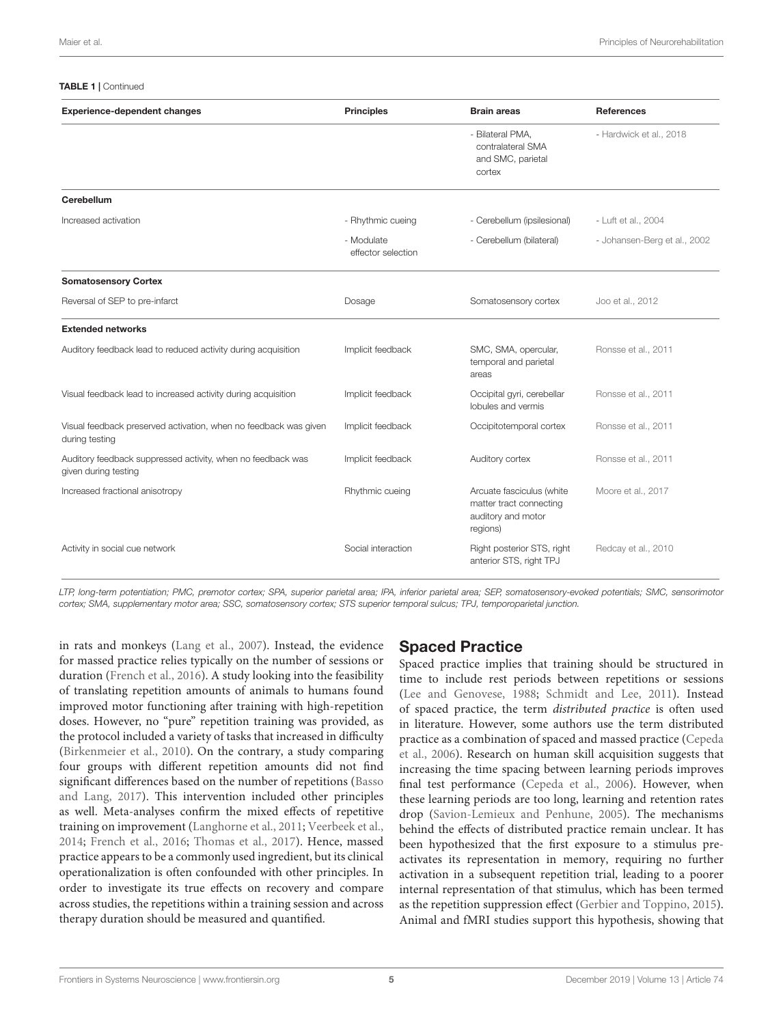#### TABLE 1 | Continued

| <b>Experience-dependent changes</b>                                                 | <b>Principles</b>                | <b>Brain areas</b>                                                                     | <b>References</b>            |
|-------------------------------------------------------------------------------------|----------------------------------|----------------------------------------------------------------------------------------|------------------------------|
|                                                                                     |                                  | - Bilateral PMA,<br>contralateral SMA<br>and SMC, parietal<br>cortex                   | - Hardwick et al., 2018      |
| Cerebellum                                                                          |                                  |                                                                                        |                              |
| Increased activation                                                                | - Rhythmic cueing                | - Cerebellum (ipsilesional)                                                            | - Luft et al., 2004          |
|                                                                                     | - Modulate<br>effector selection | - Cerebellum (bilateral)                                                               | - Johansen-Berg et al., 2002 |
| <b>Somatosensory Cortex</b>                                                         |                                  |                                                                                        |                              |
| Reversal of SEP to pre-infarct                                                      | Dosage                           | Somatosensory cortex                                                                   | Joo et al., 2012             |
| <b>Extended networks</b>                                                            |                                  |                                                                                        |                              |
| Auditory feedback lead to reduced activity during acquisition                       | Implicit feedback                | SMC, SMA, opercular,<br>temporal and parietal<br>areas                                 | Ronsse et al., 2011          |
| Visual feedback lead to increased activity during acquisition                       | Implicit feedback                | Occipital gyri, cerebellar<br>lobules and vermis                                       | Ronsse et al., 2011          |
| Visual feedback preserved activation, when no feedback was given<br>during testing  | Implicit feedback                | Occipitotemporal cortex                                                                | Ronsse et al., 2011          |
| Auditory feedback suppressed activity, when no feedback was<br>given during testing | Implicit feedback                | Auditory cortex                                                                        | Ronsse et al., 2011          |
| Increased fractional anisotropy                                                     | Rhythmic cueing                  | Arcuate fasciculus (white<br>matter tract connecting<br>auditory and motor<br>regions) | Moore et al., 2017           |
| Activity in social cue network                                                      | Social interaction               | Right posterior STS, right<br>anterior STS, right TPJ                                  | Redcay et al., 2010          |

LTP, long-term potentiation; PMC, premotor cortex; SPA, superior parietal area; IPA, inferior parietal area; SEP, somatosensory-evoked potentials; SMC, sensorimotor cortex; SMA, supplementary motor area; SSC, somatosensory cortex; STS superior temporal sulcus; TPJ, temporoparietal junction.

in rats and monkeys [\(Lang et al.,](#page-14-20) [2007\)](#page-14-20). Instead, the evidence for massed practice relies typically on the number of sessions or duration [\(French et al.,](#page-12-10) [2016\)](#page-12-10). A study looking into the feasibility of translating repetition amounts of animals to humans found improved motor functioning after training with high-repetition doses. However, no "pure" repetition training was provided, as the protocol included a variety of tasks that increased in difficulty [\(Birkenmeier et al.,](#page-12-11) [2010\)](#page-12-11). On the contrary, a study comparing four groups with different repetition amounts did not find significant differences based on the number of repetitions [\(Basso](#page-12-7) [and Lang,](#page-12-7) [2017\)](#page-12-7). This intervention included other principles as well. Meta-analyses confirm the mixed effects of repetitive training on improvement [\(Langhorne et al.,](#page-14-9) [2011;](#page-14-9) [Veerbeek et al.,](#page-16-0) [2014;](#page-16-0) [French et al.,](#page-12-10) [2016;](#page-12-10) [Thomas et al.,](#page-16-1) [2017\)](#page-16-1). Hence, massed practice appears to be a commonly used ingredient, but its clinical operationalization is often confounded with other principles. In order to investigate its true effects on recovery and compare across studies, the repetitions within a training session and across therapy duration should be measured and quantified.

### Spaced Practice

Spaced practice implies that training should be structured in time to include rest periods between repetitions or sessions [\(Lee and Genovese,](#page-14-21) [1988;](#page-14-21) [Schmidt and Lee,](#page-15-2) [2011\)](#page-15-2). Instead of spaced practice, the term distributed practice is often used in literature. However, some authors use the term distributed practice as a combination of spaced and massed practice [\(Cepeda](#page-12-12) [et al.,](#page-12-12) [2006\)](#page-12-12). Research on human skill acquisition suggests that increasing the time spacing between learning periods improves final test performance [\(Cepeda et al.,](#page-12-12) [2006\)](#page-12-12). However, when these learning periods are too long, learning and retention rates drop [\(Savion-Lemieux and Penhune,](#page-15-11) [2005\)](#page-15-11). The mechanisms behind the effects of distributed practice remain unclear. It has been hypothesized that the first exposure to a stimulus preactivates its representation in memory, requiring no further activation in a subsequent repetition trial, leading to a poorer internal representation of that stimulus, which has been termed as the repetition suppression effect [\(Gerbier and Toppino,](#page-13-1) [2015\)](#page-13-1). Animal and fMRI studies support this hypothesis, showing that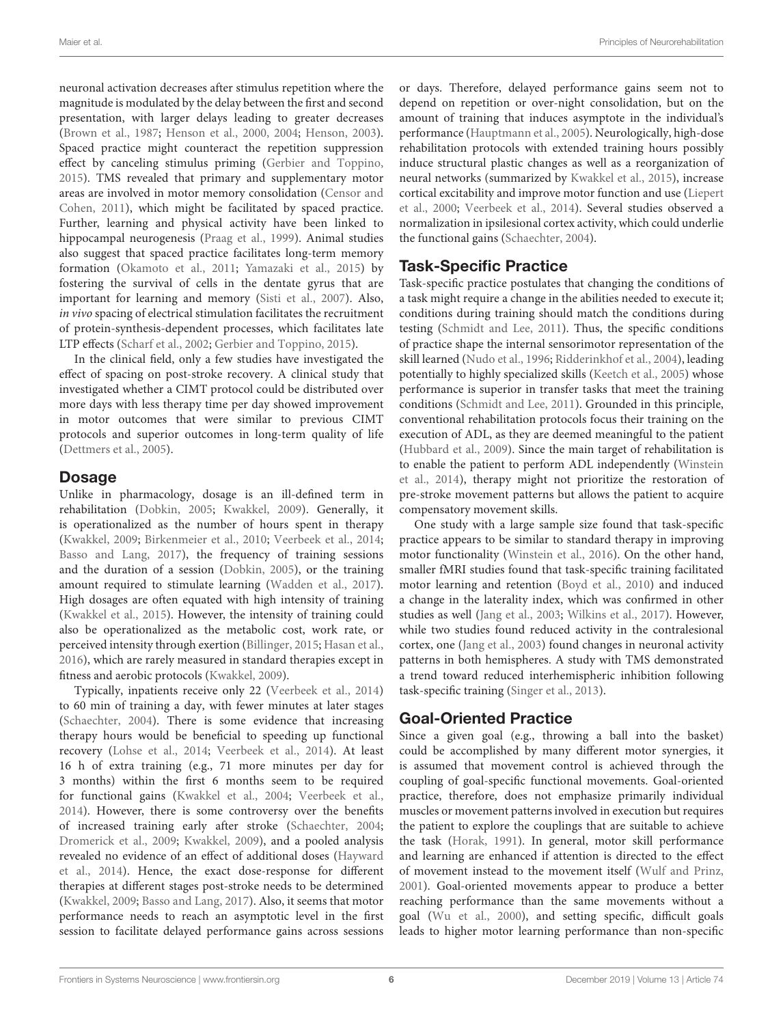neuronal activation decreases after stimulus repetition where the magnitude is modulated by the delay between the first and second presentation, with larger delays leading to greater decreases [\(Brown et al.,](#page-12-13) [1987;](#page-12-13) [Henson et al.,](#page-13-8) [2000,](#page-13-8) [2004;](#page-13-9) [Henson,](#page-13-10) [2003\)](#page-13-10). Spaced practice might counteract the repetition suppression effect by canceling stimulus priming [\(Gerbier and Toppino,](#page-13-1) [2015\)](#page-13-1). TMS revealed that primary and supplementary motor areas are involved in motor memory consolidation [\(Censor and](#page-12-14) [Cohen,](#page-12-14) [2011\)](#page-12-14), which might be facilitated by spaced practice. Further, learning and physical activity have been linked to hippocampal neurogenesis [\(Praag et al.,](#page-15-12) [1999\)](#page-15-12). Animal studies also suggest that spaced practice facilitates long-term memory formation [\(Okamoto et al.,](#page-15-13) [2011;](#page-15-13) [Yamazaki et al.,](#page-17-4) [2015\)](#page-17-4) by fostering the survival of cells in the dentate gyrus that are important for learning and memory [\(Sisti et al.,](#page-15-6) [2007\)](#page-15-6). Also, in vivo spacing of electrical stimulation facilitates the recruitment of protein-synthesis-dependent processes, which facilitates late LTP effects [\(Scharf et al.,](#page-15-5) [2002;](#page-15-5) [Gerbier and Toppino,](#page-13-1) [2015\)](#page-13-1).

In the clinical field, only a few studies have investigated the effect of spacing on post-stroke recovery. A clinical study that investigated whether a CIMT protocol could be distributed over more days with less therapy time per day showed improvement in motor outcomes that were similar to previous CIMT protocols and superior outcomes in long-term quality of life [\(Dettmers et al.,](#page-12-15) [2005\)](#page-12-15).

#### Dosage

Unlike in pharmacology, dosage is an ill-defined term in rehabilitation [\(Dobkin,](#page-12-1) [2005;](#page-12-1) [Kwakkel,](#page-14-3) [2009\)](#page-14-3). Generally, it is operationalized as the number of hours spent in therapy [\(Kwakkel,](#page-14-3) [2009;](#page-14-3) [Birkenmeier et al.,](#page-12-11) [2010;](#page-12-11) [Veerbeek et al.,](#page-16-0) [2014;](#page-16-0) [Basso and Lang,](#page-12-7) [2017\)](#page-12-7), the frequency of training sessions and the duration of a session [\(Dobkin,](#page-12-1) [2005\)](#page-12-1), or the training amount required to stimulate learning [\(Wadden et al.,](#page-16-7) [2017\)](#page-16-7). High dosages are often equated with high intensity of training [\(Kwakkel et al.,](#page-14-0) [2015\)](#page-14-0). However, the intensity of training could also be operationalized as the metabolic cost, work rate, or perceived intensity through exertion [\(Billinger,](#page-12-4) [2015;](#page-12-4) [Hasan et al.,](#page-13-0) [2016\)](#page-13-0), which are rarely measured in standard therapies except in fitness and aerobic protocols [\(Kwakkel,](#page-14-3) [2009\)](#page-14-3).

Typically, inpatients receive only 22 [\(Veerbeek et al.,](#page-16-0) [2014\)](#page-16-0) to 60 min of training a day, with fewer minutes at later stages [\(Schaechter,](#page-15-7) [2004\)](#page-15-7). There is some evidence that increasing therapy hours would be beneficial to speeding up functional recovery [\(Lohse et al.,](#page-14-22) [2014;](#page-14-22) [Veerbeek et al.,](#page-16-0) [2014\)](#page-16-0). At least 16 h of extra training (e.g., 71 more minutes per day for 3 months) within the first 6 months seem to be required for functional gains [\(Kwakkel et al.,](#page-14-23) [2004;](#page-14-23) [Veerbeek et al.,](#page-16-0) [2014\)](#page-16-0). However, there is some controversy over the benefits of increased training early after stroke [\(Schaechter,](#page-15-7) [2004;](#page-15-7) [Dromerick et al.,](#page-12-16) [2009;](#page-12-16) [Kwakkel,](#page-14-3) [2009\)](#page-14-3), and a pooled analysis revealed no evidence of an effect of additional doses [\(Hayward](#page-13-11) [et al.,](#page-13-11) [2014\)](#page-13-11). Hence, the exact dose-response for different therapies at different stages post-stroke needs to be determined [\(Kwakkel,](#page-14-3) [2009;](#page-14-3) [Basso and Lang,](#page-12-7) [2017\)](#page-12-7). Also, it seems that motor performance needs to reach an asymptotic level in the first session to facilitate delayed performance gains across sessions

or days. Therefore, delayed performance gains seem not to depend on repetition or over-night consolidation, but on the amount of training that induces asymptote in the individual's performance [\(Hauptmann et al.,](#page-13-12) [2005\)](#page-13-12). Neurologically, high-dose rehabilitation protocols with extended training hours possibly induce structural plastic changes as well as a reorganization of neural networks (summarized by [Kwakkel et al.,](#page-14-0) [2015\)](#page-14-0), increase cortical excitability and improve motor function and use [\(Liepert](#page-14-14) [et al.,](#page-14-14) [2000;](#page-14-14) [Veerbeek et al.,](#page-16-0) [2014\)](#page-16-0). Several studies observed a normalization in ipsilesional cortex activity, which could underlie the functional gains [\(Schaechter,](#page-15-7) [2004\)](#page-15-7).

### Task-Specific Practice

Task-specific practice postulates that changing the conditions of a task might require a change in the abilities needed to execute it; conditions during training should match the conditions during testing [\(Schmidt and Lee,](#page-15-2) [2011\)](#page-15-2). Thus, the specific conditions of practice shape the internal sensorimotor representation of the skill learned [\(Nudo et al.,](#page-15-14) [1996;](#page-15-14) [Ridderinkhof et al.,](#page-15-15) [2004\)](#page-15-15), leading potentially to highly specialized skills [\(Keetch et al.,](#page-13-13) [2005\)](#page-13-13) whose performance is superior in transfer tasks that meet the training conditions [\(Schmidt and Lee,](#page-15-2) [2011\)](#page-15-2). Grounded in this principle, conventional rehabilitation protocols focus their training on the execution of ADL, as they are deemed meaningful to the patient [\(Hubbard et al.,](#page-13-14) [2009\)](#page-13-14). Since the main target of rehabilitation is to enable the patient to perform ADL independently [\(Winstein](#page-16-2) [et al.,](#page-16-2) [2014\)](#page-16-2), therapy might not prioritize the restoration of pre-stroke movement patterns but allows the patient to acquire compensatory movement skills.

One study with a large sample size found that task-specific practice appears to be similar to standard therapy in improving motor functionality [\(Winstein et al.,](#page-16-8) [2016\)](#page-16-8). On the other hand, smaller fMRI studies found that task-specific training facilitated motor learning and retention [\(Boyd et al.,](#page-12-8) [2010\)](#page-12-8) and induced a change in the laterality index, which was confirmed in other studies as well [\(Jang et al.,](#page-13-3) [2003;](#page-13-3) [Wilkins et al.,](#page-16-4) [2017\)](#page-16-4). However, while two studies found reduced activity in the contralesional cortex, one [\(Jang et al.,](#page-13-3) [2003\)](#page-13-3) found changes in neuronal activity patterns in both hemispheres. A study with TMS demonstrated a trend toward reduced interhemispheric inhibition following task-specific training [\(Singer et al.,](#page-15-16) [2013\)](#page-15-16).

### Goal-Oriented Practice

Since a given goal (e.g., throwing a ball into the basket) could be accomplished by many different motor synergies, it is assumed that movement control is achieved through the coupling of goal-specific functional movements. Goal-oriented practice, therefore, does not emphasize primarily individual muscles or movement patterns involved in execution but requires the patient to explore the couplings that are suitable to achieve the task [\(Horak,](#page-13-15) [1991\)](#page-13-15). In general, motor skill performance and learning are enhanced if attention is directed to the effect of movement instead to the movement itself [\(Wulf and Prinz,](#page-16-9) [2001\)](#page-16-9). Goal-oriented movements appear to produce a better reaching performance than the same movements without a goal [\(Wu et al.,](#page-16-10) [2000\)](#page-16-10), and setting specific, difficult goals leads to higher motor learning performance than non-specific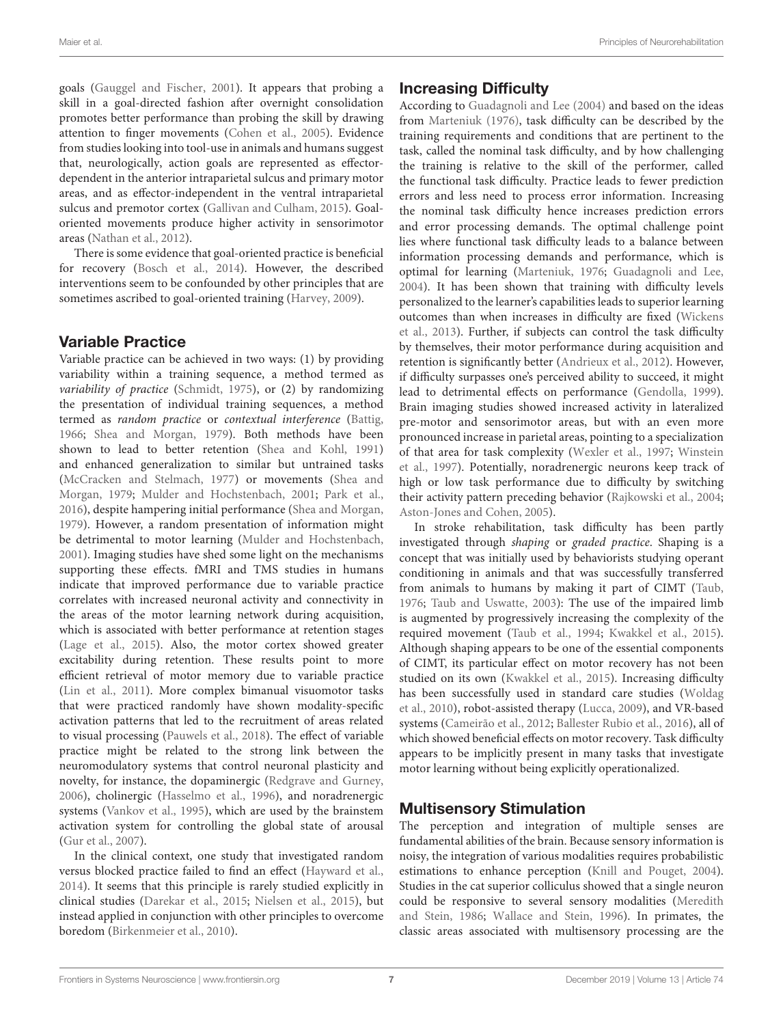goals [\(Gauggel and Fischer,](#page-13-16) [2001\)](#page-13-16). It appears that probing a skill in a goal-directed fashion after overnight consolidation promotes better performance than probing the skill by drawing attention to finger movements [\(Cohen et al.,](#page-12-17) [2005\)](#page-12-17). Evidence from studies looking into tool-use in animals and humans suggest that, neurologically, action goals are represented as effectordependent in the anterior intraparietal sulcus and primary motor areas, and as effector-independent in the ventral intraparietal sulcus and premotor cortex [\(Gallivan and Culham,](#page-12-18) [2015\)](#page-12-18). Goaloriented movements produce higher activity in sensorimotor areas [\(Nathan et al.,](#page-14-18) [2012\)](#page-14-18).

There is some evidence that goal-oriented practice is beneficial for recovery [\(Bosch et al.,](#page-12-19) [2014\)](#page-12-19). However, the described interventions seem to be confounded by other principles that are sometimes ascribed to goal-oriented training [\(Harvey,](#page-13-17) [2009\)](#page-13-17).

#### Variable Practice

Variable practice can be achieved in two ways: (1) by providing variability within a training sequence, a method termed as variability of practice [\(Schmidt,](#page-15-17) [1975\)](#page-15-17), or (2) by randomizing the presentation of individual training sequences, a method termed as random practice or contextual interference [\(Battig,](#page-12-20) [1966;](#page-12-20) [Shea and Morgan,](#page-15-4) [1979\)](#page-15-4). Both methods have been shown to lead to better retention [\(Shea and Kohl,](#page-15-18) [1991\)](#page-15-18) and enhanced generalization to similar but untrained tasks [\(McCracken and Stelmach,](#page-14-24) [1977\)](#page-14-24) or movements [\(Shea and](#page-15-4) [Morgan,](#page-15-4) [1979;](#page-15-4) [Mulder and Hochstenbach,](#page-14-25) [2001;](#page-14-25) [Park et al.,](#page-15-19) [2016\)](#page-15-19), despite hampering initial performance [\(Shea and Morgan,](#page-15-4) [1979\)](#page-15-4). However, a random presentation of information might be detrimental to motor learning [\(Mulder and Hochstenbach,](#page-14-25) [2001\)](#page-14-25). Imaging studies have shed some light on the mechanisms supporting these effects. fMRI and TMS studies in humans indicate that improved performance due to variable practice correlates with increased neuronal activity and connectivity in the areas of the motor learning network during acquisition, which is associated with better performance at retention stages [\(Lage et al.,](#page-14-15) [2015\)](#page-14-15). Also, the motor cortex showed greater excitability during retention. These results point to more efficient retrieval of motor memory due to variable practice [\(Lin et al.,](#page-14-16) [2011\)](#page-14-16). More complex bimanual visuomotor tasks that were practiced randomly have shown modality-specific activation patterns that led to the recruitment of areas related to visual processing [\(Pauwels et al.,](#page-15-20) [2018\)](#page-15-20). The effect of variable practice might be related to the strong link between the neuromodulatory systems that control neuronal plasticity and novelty, for instance, the dopaminergic [\(Redgrave and Gurney,](#page-15-21) [2006\)](#page-15-21), cholinergic [\(Hasselmo et al.,](#page-13-18) [1996\)](#page-13-18), and noradrenergic systems [\(Vankov et al.,](#page-16-11) [1995\)](#page-16-11), which are used by the brainstem activation system for controlling the global state of arousal [\(Gur et al.,](#page-13-19) [2007\)](#page-13-19).

In the clinical context, one study that investigated random versus blocked practice failed to find an effect [\(Hayward et al.,](#page-13-11) [2014\)](#page-13-11). It seems that this principle is rarely studied explicitly in clinical studies [\(Darekar et al.,](#page-12-5) [2015;](#page-12-5) [Nielsen et al.,](#page-14-26) [2015\)](#page-14-26), but instead applied in conjunction with other principles to overcome boredom [\(Birkenmeier et al.,](#page-12-11) [2010\)](#page-12-11).

# Increasing Difficulty

According to [Guadagnoli and Lee](#page-13-20) [\(2004\)](#page-13-20) and based on the ideas from [Marteniuk](#page-14-27) [\(1976\)](#page-14-27), task difficulty can be described by the training requirements and conditions that are pertinent to the task, called the nominal task difficulty, and by how challenging the training is relative to the skill of the performer, called the functional task difficulty. Practice leads to fewer prediction errors and less need to process error information. Increasing the nominal task difficulty hence increases prediction errors and error processing demands. The optimal challenge point lies where functional task difficulty leads to a balance between information processing demands and performance, which is optimal for learning [\(Marteniuk,](#page-14-27) [1976;](#page-14-27) [Guadagnoli and Lee,](#page-13-20) [2004\)](#page-13-20). It has been shown that training with difficulty levels personalized to the learner's capabilities leads to superior learning outcomes than when increases in difficulty are fixed [\(Wickens](#page-16-12) [et al.,](#page-16-12) [2013\)](#page-16-12). Further, if subjects can control the task difficulty by themselves, their motor performance during acquisition and retention is significantly better [\(Andrieux et al.,](#page-11-2) [2012\)](#page-11-2). However, if difficulty surpasses one's perceived ability to succeed, it might lead to detrimental effects on performance [\(Gendolla,](#page-13-21) [1999\)](#page-13-21). Brain imaging studies showed increased activity in lateralized pre-motor and sensorimotor areas, but with an even more pronounced increase in parietal areas, pointing to a specialization of that area for task complexity [\(Wexler et al.,](#page-16-5) [1997;](#page-16-5) [Winstein](#page-16-6) [et al.,](#page-16-6) [1997\)](#page-16-6). Potentially, noradrenergic neurons keep track of high or low task performance due to difficulty by switching their activity pattern preceding behavior [\(Rajkowski et al.,](#page-15-22) [2004;](#page-15-22) [Aston-Jones and Cohen,](#page-12-21) [2005\)](#page-12-21).

In stroke rehabilitation, task difficulty has been partly investigated through shaping or graded practice. Shaping is a concept that was initially used by behaviorists studying operant conditioning in animals and that was successfully transferred from animals to humans by making it part of CIMT [\(Taub,](#page-16-13) [1976;](#page-16-13) [Taub and Uswatte,](#page-16-14) [2003\)](#page-16-14): The use of the impaired limb is augmented by progressively increasing the complexity of the required movement [\(Taub et al.,](#page-16-15) [1994;](#page-16-15) [Kwakkel et al.,](#page-14-0) [2015\)](#page-14-0). Although shaping appears to be one of the essential components of CIMT, its particular effect on motor recovery has not been studied on its own [\(Kwakkel et al.,](#page-14-0) [2015\)](#page-14-0). Increasing difficulty has been successfully used in standard care studies [\(Woldag](#page-16-16) [et al.,](#page-16-16) [2010\)](#page-16-16), robot-assisted therapy [\(Lucca,](#page-14-28) [2009\)](#page-14-28), and VR-based systems [\(Cameirão et al.,](#page-12-22) [2012;](#page-12-22) [Ballester Rubio et al.,](#page-12-23) [2016\)](#page-12-23), all of which showed beneficial effects on motor recovery. Task difficulty appears to be implicitly present in many tasks that investigate motor learning without being explicitly operationalized.

### Multisensory Stimulation

The perception and integration of multiple senses are fundamental abilities of the brain. Because sensory information is noisy, the integration of various modalities requires probabilistic estimations to enhance perception [\(Knill and Pouget,](#page-14-29) [2004\)](#page-14-29). Studies in the cat superior colliculus showed that a single neuron could be responsive to several sensory modalities [\(Meredith](#page-14-30) [and Stein,](#page-14-30) [1986;](#page-14-30) [Wallace and Stein,](#page-16-17) [1996\)](#page-16-17). In primates, the classic areas associated with multisensory processing are the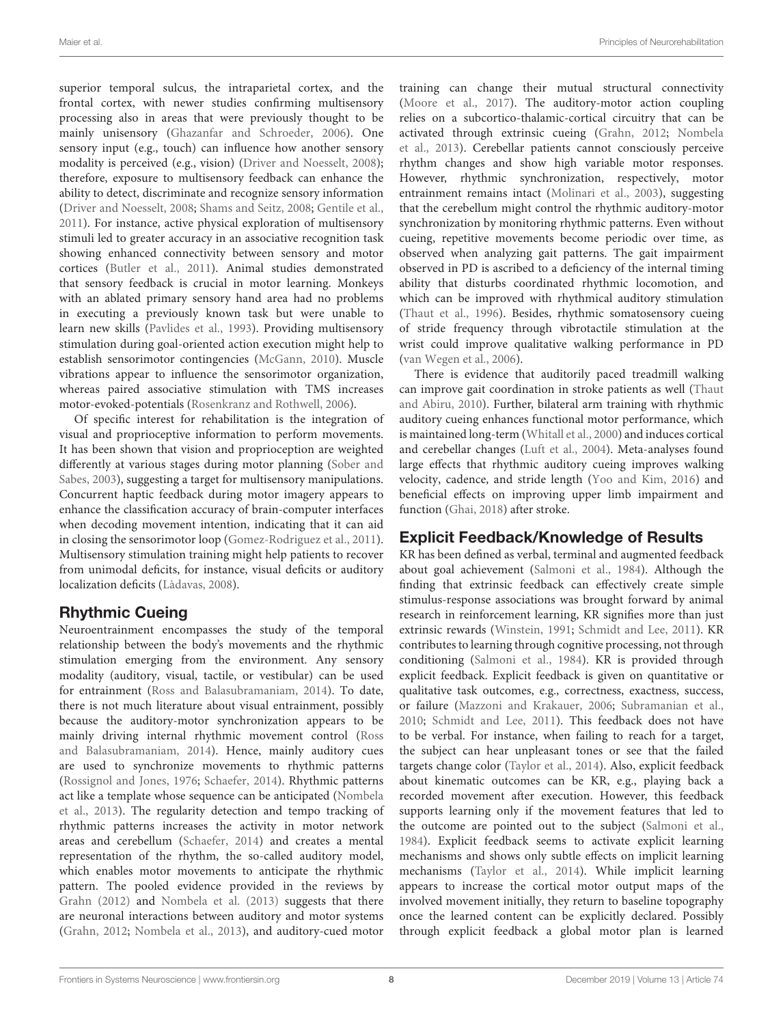superior temporal sulcus, the intraparietal cortex, and the frontal cortex, with newer studies confirming multisensory processing also in areas that were previously thought to be mainly unisensory [\(Ghazanfar and Schroeder,](#page-13-22) [2006\)](#page-13-22). One sensory input (e.g., touch) can influence how another sensory modality is perceived (e.g., vision) [\(Driver and Noesselt,](#page-12-24) [2008\)](#page-12-24); therefore, exposure to multisensory feedback can enhance the ability to detect, discriminate and recognize sensory information [\(Driver and Noesselt,](#page-12-24) [2008;](#page-12-24) [Shams and Seitz,](#page-15-23) [2008;](#page-15-23) [Gentile et al.,](#page-13-23) [2011\)](#page-13-23). For instance, active physical exploration of multisensory stimuli led to greater accuracy in an associative recognition task showing enhanced connectivity between sensory and motor cortices [\(Butler et al.,](#page-12-25) [2011\)](#page-12-25). Animal studies demonstrated that sensory feedback is crucial in motor learning. Monkeys with an ablated primary sensory hand area had no problems in executing a previously known task but were unable to learn new skills [\(Pavlides et al.,](#page-15-24) [1993\)](#page-15-24). Providing multisensory stimulation during goal-oriented action execution might help to establish sensorimotor contingencies [\(McGann,](#page-14-31) [2010\)](#page-14-31). Muscle vibrations appear to influence the sensorimotor organization, whereas paired associative stimulation with TMS increases motor-evoked-potentials [\(Rosenkranz and Rothwell,](#page-15-8) [2006\)](#page-15-8).

Of specific interest for rehabilitation is the integration of visual and proprioceptive information to perform movements. It has been shown that vision and proprioception are weighted differently at various stages during motor planning [\(Sober and](#page-16-18) [Sabes,](#page-16-18) [2003\)](#page-16-18), suggesting a target for multisensory manipulations. Concurrent haptic feedback during motor imagery appears to enhance the classification accuracy of brain-computer interfaces when decoding movement intention, indicating that it can aid in closing the sensorimotor loop [\(Gomez-Rodriguez et al.,](#page-13-5) [2011\)](#page-13-5). Multisensory stimulation training might help patients to recover from unimodal deficits, for instance, visual deficits or auditory localization deficits [\(Làdavas,](#page-14-32) [2008\)](#page-14-32).

# Rhythmic Cueing

Neuroentrainment encompasses the study of the temporal relationship between the body's movements and the rhythmic stimulation emerging from the environment. Any sensory modality (auditory, visual, tactile, or vestibular) can be used for entrainment [\(Ross and Balasubramaniam,](#page-15-25) [2014\)](#page-15-25). To date, there is not much literature about visual entrainment, possibly because the auditory-motor synchronization appears to be mainly driving internal rhythmic movement control [\(Ross](#page-15-25) [and Balasubramaniam,](#page-15-25) [2014\)](#page-15-25). Hence, mainly auditory cues are used to synchronize movements to rhythmic patterns [\(Rossignol and Jones,](#page-15-26) [1976;](#page-15-26) [Schaefer,](#page-15-27) [2014\)](#page-15-27). Rhythmic patterns act like a template whose sequence can be anticipated [\(Nombela](#page-15-28) [et al.,](#page-15-28) [2013\)](#page-15-28). The regularity detection and tempo tracking of rhythmic patterns increases the activity in motor network areas and cerebellum [\(Schaefer,](#page-15-27) [2014\)](#page-15-27) and creates a mental representation of the rhythm, the so-called auditory model, which enables motor movements to anticipate the rhythmic pattern. The pooled evidence provided in the reviews by [Grahn](#page-13-24) [\(2012\)](#page-13-24) and [Nombela et al.](#page-15-28) [\(2013\)](#page-15-28) suggests that there are neuronal interactions between auditory and motor systems [\(Grahn,](#page-13-24) [2012;](#page-13-24) [Nombela et al.,](#page-15-28) [2013\)](#page-15-28), and auditory-cued motor

training can change their mutual structural connectivity [\(Moore et al.,](#page-14-19) [2017\)](#page-14-19). The auditory-motor action coupling relies on a subcortico-thalamic-cortical circuitry that can be activated through extrinsic cueing [\(Grahn,](#page-13-24) [2012;](#page-13-24) [Nombela](#page-15-28) [et al.,](#page-15-28) [2013\)](#page-15-28). Cerebellar patients cannot consciously perceive rhythm changes and show high variable motor responses. However, rhythmic synchronization, respectively, motor entrainment remains intact [\(Molinari et al.,](#page-14-33) [2003\)](#page-14-33), suggesting that the cerebellum might control the rhythmic auditory-motor synchronization by monitoring rhythmic patterns. Even without cueing, repetitive movements become periodic over time, as observed when analyzing gait patterns. The gait impairment observed in PD is ascribed to a deficiency of the internal timing ability that disturbs coordinated rhythmic locomotion, and which can be improved with rhythmical auditory stimulation [\(Thaut et al.,](#page-16-19) [1996\)](#page-16-19). Besides, rhythmic somatosensory cueing of stride frequency through vibrotactile stimulation at the wrist could improve qualitative walking performance in PD [\(van Wegen et al.,](#page-16-20) [2006\)](#page-16-20).

There is evidence that auditorily paced treadmill walking can improve gait coordination in stroke patients as well [\(Thaut](#page-16-21) [and Abiru,](#page-16-21) [2010\)](#page-16-21). Further, bilateral arm training with rhythmic auditory cueing enhances functional motor performance, which is maintained long-term [\(Whitall et al.,](#page-16-22) [2000\)](#page-16-22) and induces cortical and cerebellar changes [\(Luft et al.,](#page-14-17) [2004\)](#page-14-17). Meta-analyses found large effects that rhythmic auditory cueing improves walking velocity, cadence, and stride length [\(Yoo and Kim,](#page-17-5) [2016\)](#page-17-5) and beneficial effects on improving upper limb impairment and function [\(Ghai,](#page-13-25) [2018\)](#page-13-25) after stroke.

# Explicit Feedback/Knowledge of Results

KR has been defined as verbal, terminal and augmented feedback about goal achievement [\(Salmoni et al.,](#page-15-29) [1984\)](#page-15-29). Although the finding that extrinsic feedback can effectively create simple stimulus-response associations was brought forward by animal research in reinforcement learning, KR signifies more than just extrinsic rewards [\(Winstein,](#page-16-23) [1991;](#page-16-23) [Schmidt and Lee,](#page-15-2) [2011\)](#page-15-2). KR contributes to learning through cognitive processing, not through conditioning [\(Salmoni et al.,](#page-15-29) [1984\)](#page-15-29). KR is provided through explicit feedback. Explicit feedback is given on quantitative or qualitative task outcomes, e.g., correctness, exactness, success, or failure [\(Mazzoni and Krakauer,](#page-14-34) [2006;](#page-14-34) [Subramanian et al.,](#page-16-24) [2010;](#page-16-24) [Schmidt and Lee,](#page-15-2) [2011\)](#page-15-2). This feedback does not have to be verbal. For instance, when failing to reach for a target, the subject can hear unpleasant tones or see that the failed targets change color [\(Taylor et al.,](#page-16-25) [2014\)](#page-16-25). Also, explicit feedback about kinematic outcomes can be KR, e.g., playing back a recorded movement after execution. However, this feedback supports learning only if the movement features that led to the outcome are pointed out to the subject [\(Salmoni et al.,](#page-15-29) [1984\)](#page-15-29). Explicit feedback seems to activate explicit learning mechanisms and shows only subtle effects on implicit learning mechanisms [\(Taylor et al.,](#page-16-25) [2014\)](#page-16-25). While implicit learning appears to increase the cortical motor output maps of the involved movement initially, they return to baseline topography once the learned content can be explicitly declared. Possibly through explicit feedback a global motor plan is learned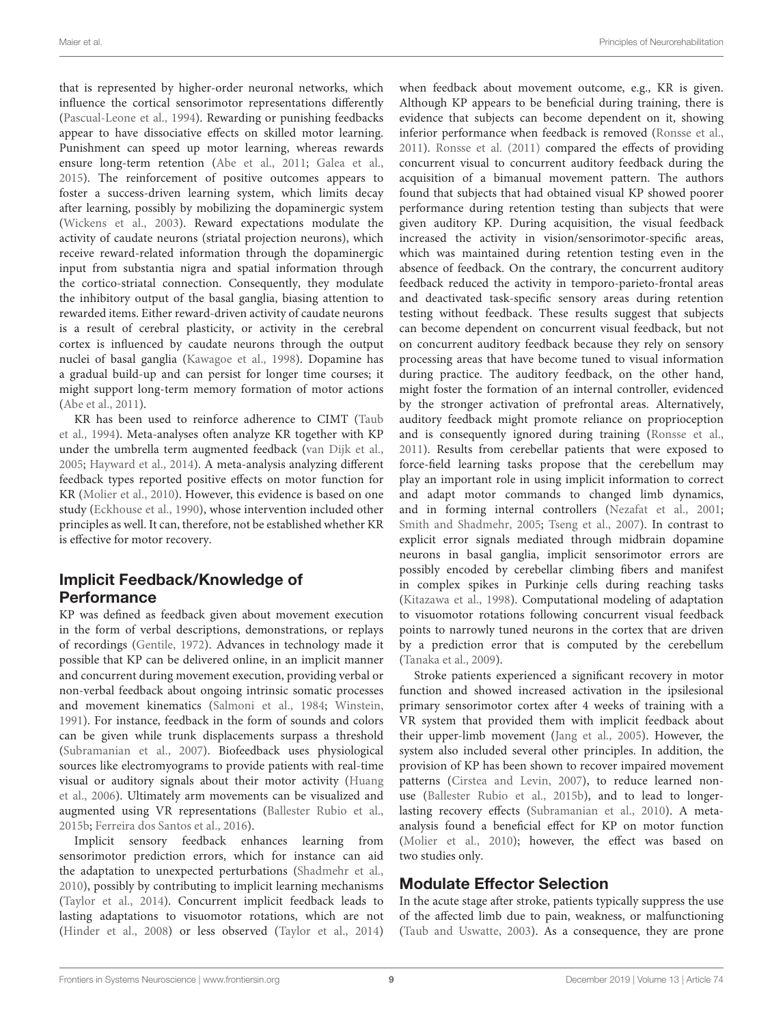that is represented by higher-order neuronal networks, which influence the cortical sensorimotor representations differently [\(Pascual-Leone et al.,](#page-15-30) [1994\)](#page-15-30). Rewarding or punishing feedbacks appear to have dissociative effects on skilled motor learning. Punishment can speed up motor learning, whereas rewards ensure long-term retention [\(Abe et al.,](#page-11-3) [2011;](#page-11-3) [Galea et al.,](#page-12-26) [2015\)](#page-12-26). The reinforcement of positive outcomes appears to foster a success-driven learning system, which limits decay after learning, possibly by mobilizing the dopaminergic system [\(Wickens et al.,](#page-16-26) [2003\)](#page-16-26). Reward expectations modulate the activity of caudate neurons (striatal projection neurons), which receive reward-related information through the dopaminergic input from substantia nigra and spatial information through the cortico-striatal connection. Consequently, they modulate the inhibitory output of the basal ganglia, biasing attention to rewarded items. Either reward-driven activity of caudate neurons is a result of cerebral plasticity, or activity in the cerebral cortex is influenced by caudate neurons through the output nuclei of basal ganglia [\(Kawagoe et al.,](#page-13-2) [1998\)](#page-13-2). Dopamine has a gradual build-up and can persist for longer time courses; it might support long-term memory formation of motor actions [\(Abe et al.,](#page-11-3) [2011\)](#page-11-3).

KR has been used to reinforce adherence to CIMT [\(Taub](#page-16-15) [et al.,](#page-16-15) [1994\)](#page-16-15). Meta-analyses often analyze KR together with KP under the umbrella term augmented feedback [\(van Dijk et al.,](#page-16-27) [2005;](#page-16-27) [Hayward et al.,](#page-13-11) [2014\)](#page-13-11). A meta-analysis analyzing different feedback types reported positive effects on motor function for KR [\(Molier et al.,](#page-14-35) [2010\)](#page-14-35). However, this evidence is based on one study [\(Eckhouse et al.,](#page-12-27) [1990\)](#page-12-27), whose intervention included other principles as well. It can, therefore, not be established whether KR is effective for motor recovery.

### Implicit Feedback/Knowledge of Performance

KP was defined as feedback given about movement execution in the form of verbal descriptions, demonstrations, or replays of recordings [\(Gentile,](#page-13-26) [1972\)](#page-13-26). Advances in technology made it possible that KP can be delivered online, in an implicit manner and concurrent during movement execution, providing verbal or non-verbal feedback about ongoing intrinsic somatic processes and movement kinematics [\(Salmoni et al.,](#page-15-29) [1984;](#page-15-29) [Winstein,](#page-16-23) [1991\)](#page-16-23). For instance, feedback in the form of sounds and colors can be given while trunk displacements surpass a threshold [\(Subramanian et al.,](#page-16-28) [2007\)](#page-16-28). Biofeedback uses physiological sources like electromyograms to provide patients with real-time visual or auditory signals about their motor activity [\(Huang](#page-13-27) [et al.,](#page-13-27) [2006\)](#page-13-27). Ultimately arm movements can be visualized and augmented using VR representations [\(Ballester Rubio et al.,](#page-12-28) [2015b;](#page-12-28) [Ferreira dos Santos et al.,](#page-12-29) [2016\)](#page-12-29).

Implicit sensory feedback enhances learning from sensorimotor prediction errors, which for instance can aid the adaptation to unexpected perturbations [\(Shadmehr et al.,](#page-15-31) [2010\)](#page-15-31), possibly by contributing to implicit learning mechanisms [\(Taylor et al.,](#page-16-25) [2014\)](#page-16-25). Concurrent implicit feedback leads to lasting adaptations to visuomotor rotations, which are not [\(Hinder et al.,](#page-13-28) [2008\)](#page-13-28) or less observed [\(Taylor et al.,](#page-16-25) [2014\)](#page-16-25)

when feedback about movement outcome, e.g., KR is given. Although KP appears to be beneficial during training, there is evidence that subjects can become dependent on it, showing inferior performance when feedback is removed [\(Ronsse et al.,](#page-15-9) [2011\)](#page-15-9). [Ronsse et al.](#page-15-9) [\(2011\)](#page-15-9) compared the effects of providing concurrent visual to concurrent auditory feedback during the acquisition of a bimanual movement pattern. The authors found that subjects that had obtained visual KP showed poorer performance during retention testing than subjects that were given auditory KP. During acquisition, the visual feedback increased the activity in vision/sensorimotor-specific areas, which was maintained during retention testing even in the absence of feedback. On the contrary, the concurrent auditory feedback reduced the activity in temporo-parieto-frontal areas and deactivated task-specific sensory areas during retention testing without feedback. These results suggest that subjects can become dependent on concurrent visual feedback, but not on concurrent auditory feedback because they rely on sensory processing areas that have become tuned to visual information during practice. The auditory feedback, on the other hand, might foster the formation of an internal controller, evidenced by the stronger activation of prefrontal areas. Alternatively, auditory feedback might promote reliance on proprioception and is consequently ignored during training [\(Ronsse et al.,](#page-15-9) [2011\)](#page-15-9). Results from cerebellar patients that were exposed to force-field learning tasks propose that the cerebellum may play an important role in using implicit information to correct and adapt motor commands to changed limb dynamics, and in forming internal controllers [\(Nezafat et al.,](#page-14-36) [2001;](#page-14-36) [Smith and Shadmehr,](#page-16-29) [2005;](#page-16-29) [Tseng et al.,](#page-16-30) [2007\)](#page-16-30). In contrast to explicit error signals mediated through midbrain dopamine neurons in basal ganglia, implicit sensorimotor errors are possibly encoded by cerebellar climbing fibers and manifest in complex spikes in Purkinje cells during reaching tasks [\(Kitazawa et al.,](#page-14-13) [1998\)](#page-14-13). Computational modeling of adaptation to visuomotor rotations following concurrent visual feedback points to narrowly tuned neurons in the cortex that are driven by a prediction error that is computed by the cerebellum [\(Tanaka et al.,](#page-16-31) [2009\)](#page-16-31).

Stroke patients experienced a significant recovery in motor function and showed increased activation in the ipsilesional primary sensorimotor cortex after 4 weeks of training with a VR system that provided them with implicit feedback about their upper-limb movement [\(Jang et al.,](#page-13-29) [2005\)](#page-13-29). However, the system also included several other principles. In addition, the provision of KP has been shown to recover impaired movement patterns [\(Cirstea and Levin,](#page-12-30) [2007\)](#page-12-30), to reduce learned nonuse [\(Ballester Rubio et al.,](#page-12-28) [2015b\)](#page-12-28), and to lead to longerlasting recovery effects [\(Subramanian et al.,](#page-16-24) [2010\)](#page-16-24). A metaanalysis found a beneficial effect for KP on motor function [\(Molier et al.,](#page-14-35) [2010\)](#page-14-35); however, the effect was based on two studies only.

#### Modulate Effector Selection

In the acute stage after stroke, patients typically suppress the use of the affected limb due to pain, weakness, or malfunctioning [\(Taub and Uswatte,](#page-16-14) [2003\)](#page-16-14). As a consequence, they are prone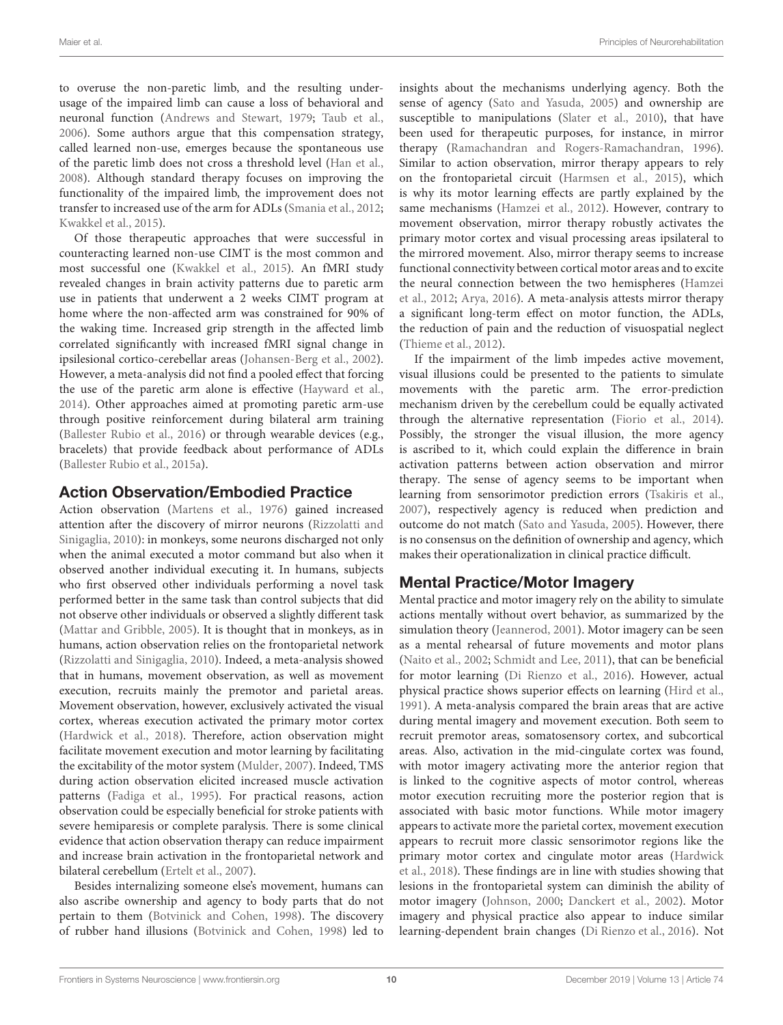to overuse the non-paretic limb, and the resulting underusage of the impaired limb can cause a loss of behavioral and neuronal function [\(Andrews and Stewart,](#page-11-4) [1979;](#page-11-4) [Taub et al.,](#page-16-32) [2006\)](#page-16-32). Some authors argue that this compensation strategy, called learned non-use, emerges because the spontaneous use of the paretic limb does not cross a threshold level [\(Han et al.,](#page-13-30) [2008\)](#page-13-30). Although standard therapy focuses on improving the functionality of the impaired limb, the improvement does not transfer to increased use of the arm for ADLs [\(Smania et al.,](#page-16-33) [2012;](#page-16-33) [Kwakkel et al.,](#page-14-0) [2015\)](#page-14-0).

Of those therapeutic approaches that were successful in counteracting learned non-use CIMT is the most common and most successful one [\(Kwakkel et al.,](#page-14-0) [2015\)](#page-14-0). An fMRI study revealed changes in brain activity patterns due to paretic arm use in patients that underwent a 2 weeks CIMT program at home where the non-affected arm was constrained for 90% of the waking time. Increased grip strength in the affected limb correlated significantly with increased fMRI signal change in ipsilesional cortico-cerebellar areas [\(Johansen-Berg et al.,](#page-13-4) [2002\)](#page-13-4). However, a meta-analysis did not find a pooled effect that forcing the use of the paretic arm alone is effective [\(Hayward et al.,](#page-13-11) [2014\)](#page-13-11). Other approaches aimed at promoting paretic arm-use through positive reinforcement during bilateral arm training [\(Ballester Rubio et al.,](#page-12-23) [2016\)](#page-12-23) or through wearable devices (e.g., bracelets) that provide feedback about performance of ADLs [\(Ballester Rubio et al.,](#page-12-31) [2015a\)](#page-12-31).

#### Action Observation/Embodied Practice

Action observation [\(Martens et al.,](#page-14-37) [1976\)](#page-14-37) gained increased attention after the discovery of mirror neurons [\(Rizzolatti and](#page-15-32) [Sinigaglia,](#page-15-32) [2010\)](#page-15-32): in monkeys, some neurons discharged not only when the animal executed a motor command but also when it observed another individual executing it. In humans, subjects who first observed other individuals performing a novel task performed better in the same task than control subjects that did not observe other individuals or observed a slightly different task [\(Mattar and Gribble,](#page-14-38) [2005\)](#page-14-38). It is thought that in monkeys, as in humans, action observation relies on the frontoparietal network [\(Rizzolatti and Sinigaglia,](#page-15-32) [2010\)](#page-15-32). Indeed, a meta-analysis showed that in humans, movement observation, as well as movement execution, recruits mainly the premotor and parietal areas. Movement observation, however, exclusively activated the visual cortex, whereas execution activated the primary motor cortex [\(Hardwick et al.,](#page-13-6) [2018\)](#page-13-6). Therefore, action observation might facilitate movement execution and motor learning by facilitating the excitability of the motor system [\(Mulder,](#page-14-39) [2007\)](#page-14-39). Indeed, TMS during action observation elicited increased muscle activation patterns [\(Fadiga et al.,](#page-12-32) [1995\)](#page-12-32). For practical reasons, action observation could be especially beneficial for stroke patients with severe hemiparesis or complete paralysis. There is some clinical evidence that action observation therapy can reduce impairment and increase brain activation in the frontoparietal network and bilateral cerebellum [\(Ertelt et al.,](#page-12-33) [2007\)](#page-12-33).

Besides internalizing someone else's movement, humans can also ascribe ownership and agency to body parts that do not pertain to them [\(Botvinick and Cohen,](#page-12-34) [1998\)](#page-12-34). The discovery of rubber hand illusions [\(Botvinick and Cohen,](#page-12-34) [1998\)](#page-12-34) led to

insights about the mechanisms underlying agency. Both the sense of agency [\(Sato and Yasuda,](#page-15-33) [2005\)](#page-15-33) and ownership are susceptible to manipulations [\(Slater et al.,](#page-15-34) [2010\)](#page-15-34), that have been used for therapeutic purposes, for instance, in mirror therapy [\(Ramachandran and Rogers-Ramachandran,](#page-15-35) [1996\)](#page-15-35). Similar to action observation, mirror therapy appears to rely on the frontoparietal circuit [\(Harmsen et al.,](#page-13-31) [2015\)](#page-13-31), which is why its motor learning effects are partly explained by the same mechanisms [\(Hamzei et al.,](#page-13-32) [2012\)](#page-13-32). However, contrary to movement observation, mirror therapy robustly activates the primary motor cortex and visual processing areas ipsilateral to the mirrored movement. Also, mirror therapy seems to increase functional connectivity between cortical motor areas and to excite the neural connection between the two hemispheres [\(Hamzei](#page-13-32) [et al.,](#page-13-32) [2012;](#page-13-32) [Arya,](#page-12-9) [2016\)](#page-12-9). A meta-analysis attests mirror therapy a significant long-term effect on motor function, the ADLs, the reduction of pain and the reduction of visuospatial neglect [\(Thieme et al.,](#page-16-34) [2012\)](#page-16-34).

If the impairment of the limb impedes active movement, visual illusions could be presented to the patients to simulate movements with the paretic arm. The error-prediction mechanism driven by the cerebellum could be equally activated through the alternative representation [\(Fiorio et al.,](#page-12-35) [2014\)](#page-12-35). Possibly, the stronger the visual illusion, the more agency is ascribed to it, which could explain the difference in brain activation patterns between action observation and mirror therapy. The sense of agency seems to be important when learning from sensorimotor prediction errors [\(Tsakiris et al.,](#page-16-35) [2007\)](#page-16-35), respectively agency is reduced when prediction and outcome do not match [\(Sato and Yasuda,](#page-15-33) [2005\)](#page-15-33). However, there is no consensus on the definition of ownership and agency, which makes their operationalization in clinical practice difficult.

### Mental Practice/Motor Imagery

Mental practice and motor imagery rely on the ability to simulate actions mentally without overt behavior, as summarized by the simulation theory [\(Jeannerod,](#page-13-33) [2001\)](#page-13-33). Motor imagery can be seen as a mental rehearsal of future movements and motor plans [\(Naito et al.,](#page-14-40) [2002;](#page-14-40) [Schmidt and Lee,](#page-15-2) [2011\)](#page-15-2), that can be beneficial for motor learning [\(Di Rienzo et al.,](#page-12-36) [2016\)](#page-12-36). However, actual physical practice shows superior effects on learning [\(Hird et al.,](#page-13-34) [1991\)](#page-13-34). A meta-analysis compared the brain areas that are active during mental imagery and movement execution. Both seem to recruit premotor areas, somatosensory cortex, and subcortical areas. Also, activation in the mid-cingulate cortex was found, with motor imagery activating more the anterior region that is linked to the cognitive aspects of motor control, whereas motor execution recruiting more the posterior region that is associated with basic motor functions. While motor imagery appears to activate more the parietal cortex, movement execution appears to recruit more classic sensorimotor regions like the primary motor cortex and cingulate motor areas [\(Hardwick](#page-13-6) [et al.,](#page-13-6) [2018\)](#page-13-6). These findings are in line with studies showing that lesions in the frontoparietal system can diminish the ability of motor imagery [\(Johnson,](#page-13-35) [2000;](#page-13-35) [Danckert et al.,](#page-12-37) [2002\)](#page-12-37). Motor imagery and physical practice also appear to induce similar learning-dependent brain changes [\(Di Rienzo et al.,](#page-12-36) [2016\)](#page-12-36). Not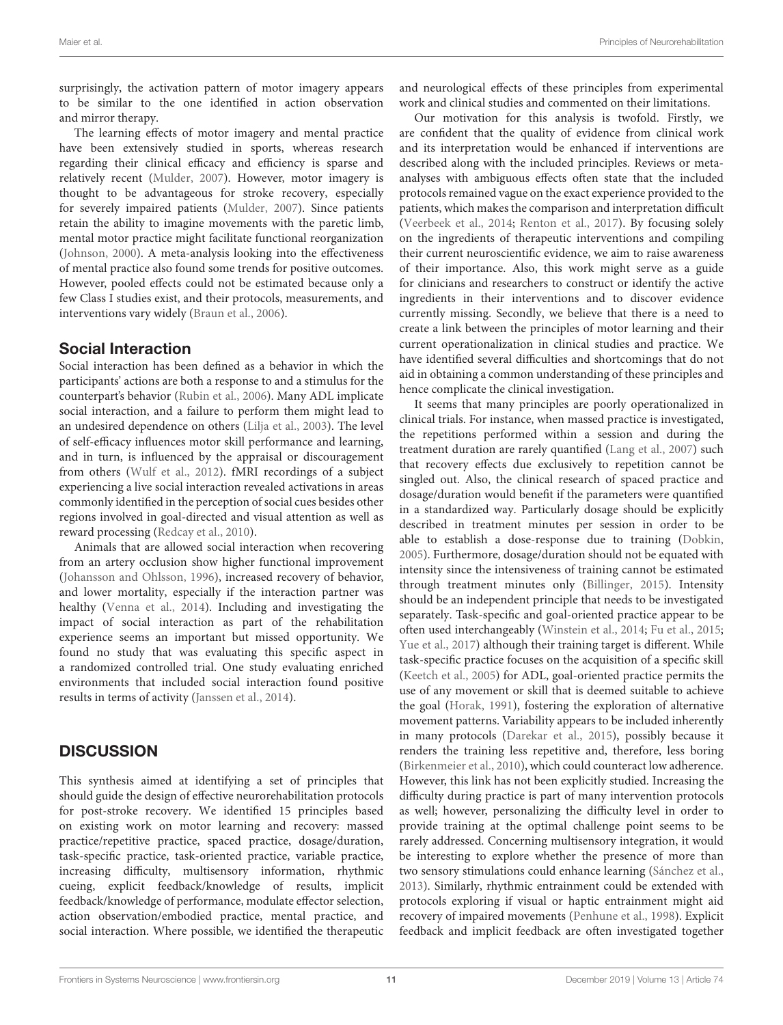surprisingly, the activation pattern of motor imagery appears to be similar to the one identified in action observation and mirror therapy.

The learning effects of motor imagery and mental practice have been extensively studied in sports, whereas research regarding their clinical efficacy and efficiency is sparse and relatively recent [\(Mulder,](#page-14-39) [2007\)](#page-14-39). However, motor imagery is thought to be advantageous for stroke recovery, especially for severely impaired patients [\(Mulder,](#page-14-39) [2007\)](#page-14-39). Since patients retain the ability to imagine movements with the paretic limb, mental motor practice might facilitate functional reorganization [\(Johnson,](#page-13-35) [2000\)](#page-13-35). A meta-analysis looking into the effectiveness of mental practice also found some trends for positive outcomes. However, pooled effects could not be estimated because only a few Class I studies exist, and their protocols, measurements, and interventions vary widely [\(Braun et al.,](#page-12-38) [2006\)](#page-12-38).

#### Social Interaction

Social interaction has been defined as a behavior in which the participants' actions are both a response to and a stimulus for the counterpart's behavior [\(Rubin et al.,](#page-15-36) [2006\)](#page-15-36). Many ADL implicate social interaction, and a failure to perform them might lead to an undesired dependence on others [\(Lilja et al.,](#page-14-41) [2003\)](#page-14-41). The level of self-efficacy influences motor skill performance and learning, and in turn, is influenced by the appraisal or discouragement from others [\(Wulf et al.,](#page-16-36) [2012\)](#page-16-36). fMRI recordings of a subject experiencing a live social interaction revealed activations in areas commonly identified in the perception of social cues besides other regions involved in goal-directed and visual attention as well as reward processing [\(Redcay et al.,](#page-15-10) [2010\)](#page-15-10).

Animals that are allowed social interaction when recovering from an artery occlusion show higher functional improvement [\(Johansson and Ohlsson,](#page-13-36) [1996\)](#page-13-36), increased recovery of behavior, and lower mortality, especially if the interaction partner was healthy [\(Venna et al.,](#page-16-37) [2014\)](#page-16-37). Including and investigating the impact of social interaction as part of the rehabilitation experience seems an important but missed opportunity. We found no study that was evaluating this specific aspect in a randomized controlled trial. One study evaluating enriched environments that included social interaction found positive results in terms of activity [\(Janssen et al.,](#page-13-37) [2014\)](#page-13-37).

# **DISCUSSION**

This synthesis aimed at identifying a set of principles that should guide the design of effective neurorehabilitation protocols for post-stroke recovery. We identified 15 principles based on existing work on motor learning and recovery: massed practice/repetitive practice, spaced practice, dosage/duration, task-specific practice, task-oriented practice, variable practice, increasing difficulty, multisensory information, rhythmic cueing, explicit feedback/knowledge of results, implicit feedback/knowledge of performance, modulate effector selection, action observation/embodied practice, mental practice, and social interaction. Where possible, we identified the therapeutic

and neurological effects of these principles from experimental work and clinical studies and commented on their limitations.

Our motivation for this analysis is twofold. Firstly, we are confident that the quality of evidence from clinical work and its interpretation would be enhanced if interventions are described along with the included principles. Reviews or metaanalyses with ambiguous effects often state that the included protocols remained vague on the exact experience provided to the patients, which makes the comparison and interpretation difficult [\(Veerbeek et al.,](#page-16-0) [2014;](#page-16-0) [Renton et al.,](#page-15-1) [2017\)](#page-15-1). By focusing solely on the ingredients of therapeutic interventions and compiling their current neuroscientific evidence, we aim to raise awareness of their importance. Also, this work might serve as a guide for clinicians and researchers to construct or identify the active ingredients in their interventions and to discover evidence currently missing. Secondly, we believe that there is a need to create a link between the principles of motor learning and their current operationalization in clinical studies and practice. We have identified several difficulties and shortcomings that do not aid in obtaining a common understanding of these principles and hence complicate the clinical investigation.

It seems that many principles are poorly operationalized in clinical trials. For instance, when massed practice is investigated, the repetitions performed within a session and during the treatment duration are rarely quantified [\(Lang et al.,](#page-14-20) [2007\)](#page-14-20) such that recovery effects due exclusively to repetition cannot be singled out. Also, the clinical research of spaced practice and dosage/duration would benefit if the parameters were quantified in a standardized way. Particularly dosage should be explicitly described in treatment minutes per session in order to be able to establish a dose-response due to training [\(Dobkin,](#page-12-1) [2005\)](#page-12-1). Furthermore, dosage/duration should not be equated with intensity since the intensiveness of training cannot be estimated through treatment minutes only [\(Billinger,](#page-12-4) [2015\)](#page-12-4). Intensity should be an independent principle that needs to be investigated separately. Task-specific and goal-oriented practice appear to be often used interchangeably [\(Winstein et al.,](#page-16-2) [2014;](#page-16-2) [Fu et al.,](#page-12-6) [2015;](#page-12-6) [Yue et al.,](#page-17-2) [2017\)](#page-17-2) although their training target is different. While task-specific practice focuses on the acquisition of a specific skill [\(Keetch et al.,](#page-13-13) [2005\)](#page-13-13) for ADL, goal-oriented practice permits the use of any movement or skill that is deemed suitable to achieve the goal [\(Horak,](#page-13-15) [1991\)](#page-13-15), fostering the exploration of alternative movement patterns. Variability appears to be included inherently in many protocols [\(Darekar et al.,](#page-12-5) [2015\)](#page-12-5), possibly because it renders the training less repetitive and, therefore, less boring [\(Birkenmeier et al.,](#page-12-11) [2010\)](#page-12-11), which could counteract low adherence. However, this link has not been explicitly studied. Increasing the difficulty during practice is part of many intervention protocols as well; however, personalizing the difficulty level in order to provide training at the optimal challenge point seems to be rarely addressed. Concerning multisensory integration, it would be interesting to explore whether the presence of more than two sensory stimulations could enhance learning [\(Sánchez et al.,](#page-15-37) [2013\)](#page-15-37). Similarly, rhythmic entrainment could be extended with protocols exploring if visual or haptic entrainment might aid recovery of impaired movements [\(Penhune et al.,](#page-15-38) [1998\)](#page-15-38). Explicit feedback and implicit feedback are often investigated together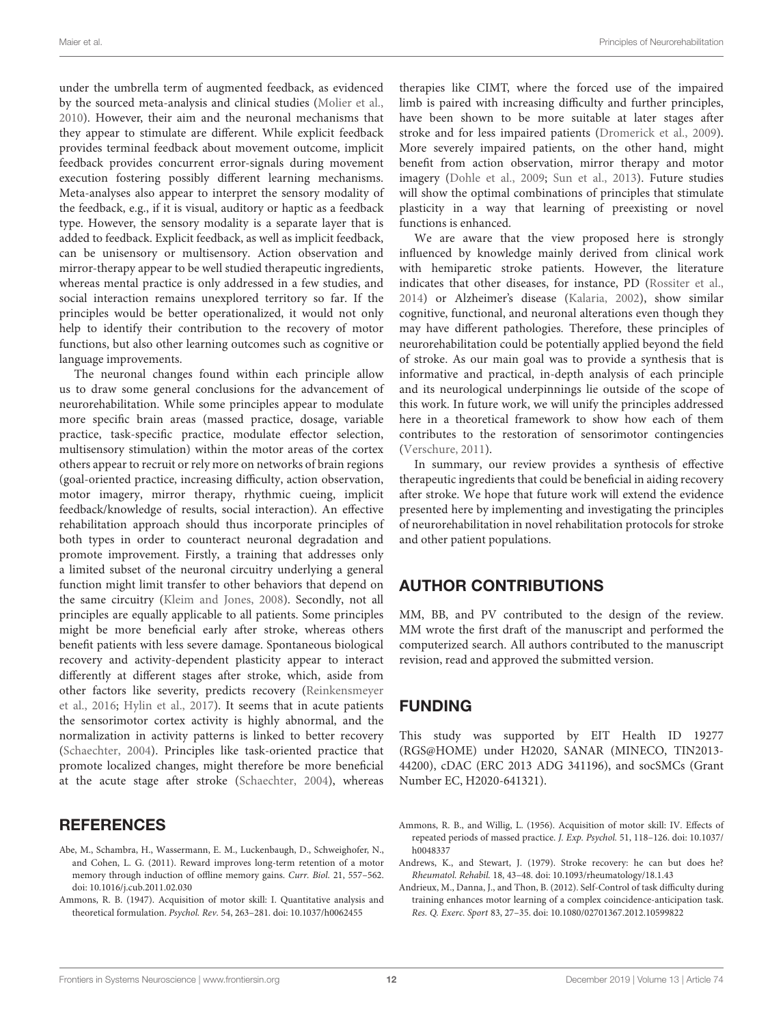under the umbrella term of augmented feedback, as evidenced by the sourced meta-analysis and clinical studies [\(Molier et al.,](#page-14-35) [2010\)](#page-14-35). However, their aim and the neuronal mechanisms that they appear to stimulate are different. While explicit feedback provides terminal feedback about movement outcome, implicit feedback provides concurrent error-signals during movement execution fostering possibly different learning mechanisms. Meta-analyses also appear to interpret the sensory modality of the feedback, e.g., if it is visual, auditory or haptic as a feedback type. However, the sensory modality is a separate layer that is added to feedback. Explicit feedback, as well as implicit feedback, can be unisensory or multisensory. Action observation and mirror-therapy appear to be well studied therapeutic ingredients, whereas mental practice is only addressed in a few studies, and social interaction remains unexplored territory so far. If the principles would be better operationalized, it would not only help to identify their contribution to the recovery of motor functions, but also other learning outcomes such as cognitive or language improvements.

The neuronal changes found within each principle allow us to draw some general conclusions for the advancement of neurorehabilitation. While some principles appear to modulate more specific brain areas (massed practice, dosage, variable practice, task-specific practice, modulate effector selection, multisensory stimulation) within the motor areas of the cortex others appear to recruit or rely more on networks of brain regions (goal-oriented practice, increasing difficulty, action observation, motor imagery, mirror therapy, rhythmic cueing, implicit feedback/knowledge of results, social interaction). An effective rehabilitation approach should thus incorporate principles of both types in order to counteract neuronal degradation and promote improvement. Firstly, a training that addresses only a limited subset of the neuronal circuitry underlying a general function might limit transfer to other behaviors that depend on the same circuitry [\(Kleim and Jones,](#page-14-2) [2008\)](#page-14-2). Secondly, not all principles are equally applicable to all patients. Some principles might be more beneficial early after stroke, whereas others benefit patients with less severe damage. Spontaneous biological recovery and activity-dependent plasticity appear to interact differently at different stages after stroke, which, aside from other factors like severity, predicts recovery [\(Reinkensmeyer](#page-15-39) [et al.,](#page-15-39) [2016;](#page-15-39) [Hylin et al.,](#page-13-38) [2017\)](#page-13-38). It seems that in acute patients the sensorimotor cortex activity is highly abnormal, and the normalization in activity patterns is linked to better recovery [\(Schaechter,](#page-15-7) [2004\)](#page-15-7). Principles like task-oriented practice that promote localized changes, might therefore be more beneficial at the acute stage after stroke [\(Schaechter,](#page-15-7) [2004\)](#page-15-7), whereas

### **REFERENCES**

- <span id="page-11-3"></span>Abe, M., Schambra, H., Wassermann, E. M., Luckenbaugh, D., Schweighofer, N., and Cohen, L. G. (2011). Reward improves long-term retention of a motor memory through induction of offline memory gains. Curr. Biol. 21, 557–562. [doi: 10.1016/j.cub.2011.02.030](https://doi.org/10.1016/j.cub.2011.02.030)
- <span id="page-11-0"></span>Ammons, R. B. (1947). Acquisition of motor skill: I. Quantitative analysis and theoretical formulation. Psychol. Rev. 54, 263–281. [doi: 10.1037/h0062455](https://doi.org/10.1037/h0062455)

therapies like CIMT, where the forced use of the impaired limb is paired with increasing difficulty and further principles, have been shown to be more suitable at later stages after stroke and for less impaired patients [\(Dromerick et al.,](#page-12-16) [2009\)](#page-12-16). More severely impaired patients, on the other hand, might benefit from action observation, mirror therapy and motor imagery [\(Dohle et al.,](#page-12-39) [2009;](#page-12-39) [Sun et al.,](#page-16-38) [2013\)](#page-16-38). Future studies will show the optimal combinations of principles that stimulate plasticity in a way that learning of preexisting or novel functions is enhanced.

We are aware that the view proposed here is strongly influenced by knowledge mainly derived from clinical work with hemiparetic stroke patients. However, the literature indicates that other diseases, for instance, PD [\(Rossiter et al.,](#page-15-40) [2014\)](#page-15-40) or Alzheimer's disease [\(Kalaria,](#page-13-39) [2002\)](#page-13-39), show similar cognitive, functional, and neuronal alterations even though they may have different pathologies. Therefore, these principles of neurorehabilitation could be potentially applied beyond the field of stroke. As our main goal was to provide a synthesis that is informative and practical, in-depth analysis of each principle and its neurological underpinnings lie outside of the scope of this work. In future work, we will unify the principles addressed here in a theoretical framework to show how each of them contributes to the restoration of sensorimotor contingencies [\(Verschure,](#page-16-39) [2011\)](#page-16-39).

In summary, our review provides a synthesis of effective therapeutic ingredients that could be beneficial in aiding recovery after stroke. We hope that future work will extend the evidence presented here by implementing and investigating the principles of neurorehabilitation in novel rehabilitation protocols for stroke and other patient populations.

### AUTHOR CONTRIBUTIONS

MM, BB, and PV contributed to the design of the review. MM wrote the first draft of the manuscript and performed the computerized search. All authors contributed to the manuscript revision, read and approved the submitted version.

# FUNDING

This study was supported by EIT Health ID 19277 (RGS@HOME) under H2020, SANAR (MINECO, TIN2013- 44200), cDAC (ERC 2013 ADG 341196), and socSMCs (Grant Number EC, H2020-641321).

- <span id="page-11-1"></span>Ammons, R. B., and Willig, L. (1956). Acquisition of motor skill: IV. Effects of repeated periods of massed practice. J. Exp. Psychol. 51, 118–126. [doi: 10.1037/](https://doi.org/10.1037/h0048337) [h0048337](https://doi.org/10.1037/h0048337)
- <span id="page-11-4"></span>Andrews, K., and Stewart, J. (1979). Stroke recovery: he can but does he? Rheumatol. Rehabil. 18, 43–48. [doi: 10.1093/rheumatology/18.1.43](https://doi.org/10.1093/rheumatology/18.1.43)
- <span id="page-11-2"></span>Andrieux, M., Danna, J., and Thon, B. (2012). Self-Control of task difficulty during training enhances motor learning of a complex coincidence-anticipation task. Res. Q. Exerc. Sport 83, 27–35. [doi: 10.1080/02701367.2012.10599822](https://doi.org/10.1080/02701367.2012.10599822)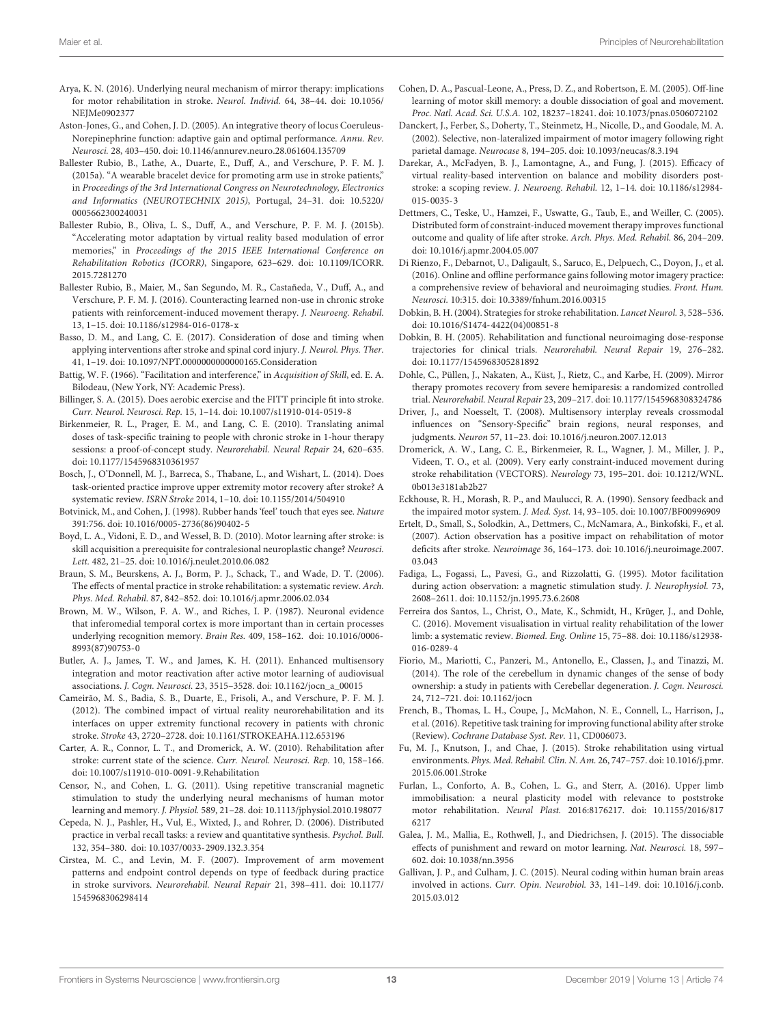- <span id="page-12-9"></span>Arya, K. N. (2016). Underlying neural mechanism of mirror therapy: implications for motor rehabilitation in stroke. Neurol. Individ. 64, 38–44. [doi: 10.1056/](https://doi.org/10.1056/NEJMe0902377) [NEJMe0902377](https://doi.org/10.1056/NEJMe0902377)
- <span id="page-12-21"></span>Aston-Jones, G., and Cohen, J. D. (2005). An integrative theory of locus Coeruleus-Norepinephrine function: adaptive gain and optimal performance. Annu. Rev. Neurosci. 28, 403–450. [doi: 10.1146/annurev.neuro.28.061604.135709](https://doi.org/10.1146/annurev.neuro.28.061604.135709)
- <span id="page-12-31"></span>Ballester Rubio, B., Lathe, A., Duarte, E., Duff, A., and Verschure, P. F. M. J. (2015a). "A wearable bracelet device for promoting arm use in stroke patients," in Proceedings of the 3rd International Congress on Neurotechnology, Electronics and Informatics (NEUROTECHNIX 2015), Portugal, 24–31. [doi: 10.5220/](https://doi.org/10.5220/0005662300240031) [0005662300240031](https://doi.org/10.5220/0005662300240031)
- <span id="page-12-28"></span>Ballester Rubio, B., Oliva, L. S., Duff, A., and Verschure, P. F. M. J. (2015b). "Accelerating motor adaptation by virtual reality based modulation of error memories," in Proceedings of the 2015 IEEE International Conference on Rehabilitation Robotics (ICORR), Singapore, 623–629. [doi: 10.1109/ICORR.](https://doi.org/10.1109/ICORR.2015.7281270) [2015.7281270](https://doi.org/10.1109/ICORR.2015.7281270)
- <span id="page-12-23"></span>Ballester Rubio, B., Maier, M., San Segundo, M. R., Castañeda, V., Duff, A., and Verschure, P. F. M. J. (2016). Counteracting learned non-use in chronic stroke patients with reinforcement-induced movement therapy. J. Neuroeng. Rehabil. 13, 1–15. [doi: 10.1186/s12984-016-0178-x](https://doi.org/10.1186/s12984-016-0178-x)
- <span id="page-12-7"></span>Basso, D. M., and Lang, C. E. (2017). Consideration of dose and timing when applying interventions after stroke and spinal cord injury. J. Neurol. Phys. Ther. 41, 1–19. [doi: 10.1097/NPT.0000000000000165.Consideration](https://doi.org/10.1097/NPT.0000000000000165.Consideration)
- <span id="page-12-20"></span>Battig, W. F. (1966). "Facilitation and interference," in Acquisition of Skill, ed. E. A. Bilodeau, (New York, NY: Academic Press).
- <span id="page-12-4"></span>Billinger, S. A. (2015). Does aerobic exercise and the FITT principle fit into stroke. Curr. Neurol. Neurosci. Rep. 15, 1–14. [doi: 10.1007/s11910-014-0519-8](https://doi.org/10.1007/s11910-014-0519-8)
- <span id="page-12-11"></span>Birkenmeier, R. L., Prager, E. M., and Lang, C. E. (2010). Translating animal doses of task-specific training to people with chronic stroke in 1-hour therapy sessions: a proof-of-concept study. Neurorehabil. Neural Repair 24, 620–635. [doi: 10.1177/1545968310361957](https://doi.org/10.1177/1545968310361957)
- <span id="page-12-19"></span>Bosch, J., O'Donnell, M. J., Barreca, S., Thabane, L., and Wishart, L. (2014). Does task-oriented practice improve upper extremity motor recovery after stroke? A systematic review. ISRN Stroke 2014, 1–10. [doi: 10.1155/2014/504910](https://doi.org/10.1155/2014/504910)
- <span id="page-12-34"></span>Botvinick, M., and Cohen, J. (1998). Rubber hands 'feel' touch that eyes see. Nature 391:756. [doi: 10.1016/0005-2736\(86\)90402-5](https://doi.org/10.1016/0005-2736(86)90402-5)
- <span id="page-12-8"></span>Boyd, L. A., Vidoni, E. D., and Wessel, B. D. (2010). Motor learning after stroke: is skill acquisition a prerequisite for contralesional neuroplastic change? Neurosci. Lett. 482, 21–25. [doi: 10.1016/j.neulet.2010.06.082](https://doi.org/10.1016/j.neulet.2010.06.082)
- <span id="page-12-38"></span>Braun, S. M., Beurskens, A. J., Borm, P. J., Schack, T., and Wade, D. T. (2006). The effects of mental practice in stroke rehabilitation: a systematic review. Arch. Phys. Med. Rehabil. 87, 842–852. [doi: 10.1016/j.apmr.2006.02.034](https://doi.org/10.1016/j.apmr.2006.02.034)
- <span id="page-12-13"></span>Brown, M. W., Wilson, F. A. W., and Riches, I. P. (1987). Neuronal evidence that inferomedial temporal cortex is more important than in certain processes underlying recognition memory. Brain Res. 409, 158–162. [doi: 10.1016/0006-](https://doi.org/10.1016/0006-8993(87)90753-0) [8993\(87\)90753-0](https://doi.org/10.1016/0006-8993(87)90753-0)
- <span id="page-12-25"></span>Butler, A. J., James, T. W., and James, K. H. (2011). Enhanced multisensory integration and motor reactivation after active motor learning of audiovisual associations. J. Cogn. Neurosci. 23, 3515–3528. [doi: 10.1162/jocn\\_a\\_00015](https://doi.org/10.1162/jocn_a_00015)
- <span id="page-12-22"></span>Cameirão, M. S., Badia, S. B., Duarte, E., Frisoli, A., and Verschure, P. F. M. J. (2012). The combined impact of virtual reality neurorehabilitation and its interfaces on upper extremity functional recovery in patients with chronic stroke. Stroke 43, 2720–2728. [doi: 10.1161/STROKEAHA.112.653196](https://doi.org/10.1161/STROKEAHA.112.653196)
- <span id="page-12-0"></span>Carter, A. R., Connor, L. T., and Dromerick, A. W. (2010). Rehabilitation after stroke: current state of the science. Curr. Neurol. Neurosci. Rep. 10, 158-166. [doi: 10.1007/s11910-010-0091-9.Rehabilitation](https://doi.org/10.1007/s11910-010-0091-9.Rehabilitation)
- <span id="page-12-14"></span>Censor, N., and Cohen, L. G. (2011). Using repetitive transcranial magnetic stimulation to study the underlying neural mechanisms of human motor learning and memory. J. Physiol. 589, 21–28. [doi: 10.1113/jphysiol.2010.198077](https://doi.org/10.1113/jphysiol.2010.198077)
- <span id="page-12-12"></span>Cepeda, N. J., Pashler, H., Vul, E., Wixted, J., and Rohrer, D. (2006). Distributed practice in verbal recall tasks: a review and quantitative synthesis. Psychol. Bull. 132, 354–380. [doi: 10.1037/0033-2909.132.3.354](https://doi.org/10.1037/0033-2909.132.3.354)
- <span id="page-12-30"></span>Cirstea, M. C., and Levin, M. F. (2007). Improvement of arm movement patterns and endpoint control depends on type of feedback during practice in stroke survivors. Neurorehabil. Neural Repair 21, 398–411. [doi: 10.1177/](https://doi.org/10.1177/1545968306298414) [1545968306298414](https://doi.org/10.1177/1545968306298414)
- <span id="page-12-17"></span>Cohen, D. A., Pascual-Leone, A., Press, D. Z., and Robertson, E. M. (2005). Off-line learning of motor skill memory: a double dissociation of goal and movement. Proc. Natl. Acad. Sci. U.S.A. 102, 18237–18241. [doi: 10.1073/pnas.0506072102](https://doi.org/10.1073/pnas.0506072102)
- <span id="page-12-37"></span>Danckert, J., Ferber, S., Doherty, T., Steinmetz, H., Nicolle, D., and Goodale, M. A. (2002). Selective, non-lateralized impairment of motor imagery following right parietal damage. Neurocase 8, 194–205. [doi: 10.1093/neucas/8.3.194](https://doi.org/10.1093/neucas/8.3.194)
- <span id="page-12-5"></span>Darekar, A., McFadyen, B. J., Lamontagne, A., and Fung, J. (2015). Efficacy of virtual reality-based intervention on balance and mobility disorders poststroke: a scoping review. J. Neuroeng. Rehabil. 12, 1–14. [doi: 10.1186/s12984-](https://doi.org/10.1186/s12984-015-0035-3) [015-0035-3](https://doi.org/10.1186/s12984-015-0035-3)
- <span id="page-12-15"></span>Dettmers, C., Teske, U., Hamzei, F., Uswatte, G., Taub, E., and Weiller, C. (2005). Distributed form of constraint-induced movement therapy improves functional outcome and quality of life after stroke. Arch. Phys. Med. Rehabil. 86, 204–209. [doi: 10.1016/j.apmr.2004.05.007](https://doi.org/10.1016/j.apmr.2004.05.007)
- <span id="page-12-36"></span>Di Rienzo, F., Debarnot, U., Daligault, S., Saruco, E., Delpuech, C., Doyon, J., et al. (2016). Online and offline performance gains following motor imagery practice: a comprehensive review of behavioral and neuroimaging studies. Front. Hum. Neurosci. 10:315. [doi: 10.3389/fnhum.2016.00315](https://doi.org/10.3389/fnhum.2016.00315)
- <span id="page-12-2"></span>Dobkin, B. H. (2004). Strategies for stroke rehabilitation. Lancet Neurol. 3, 528–536. [doi: 10.1016/S1474-4422\(04\)00851-8](https://doi.org/10.1016/S1474-4422(04)00851-8)
- <span id="page-12-1"></span>Dobkin, B. H. (2005). Rehabilitation and functional neuroimaging dose-response trajectories for clinical trials. Neurorehabil. Neural Repair 19, 276–282. [doi: 10.1177/1545968305281892](https://doi.org/10.1177/1545968305281892)
- <span id="page-12-39"></span>Dohle, C., Püllen, J., Nakaten, A., Küst, J., Rietz, C., and Karbe, H. (2009). Mirror therapy promotes recovery from severe hemiparesis: a randomized controlled trial. Neurorehabil. Neural Repair 23, 209–217. [doi: 10.1177/1545968308324786](https://doi.org/10.1177/1545968308324786)
- <span id="page-12-24"></span>Driver, J., and Noesselt, T. (2008). Multisensory interplay reveals crossmodal influences on "Sensory-Specific" brain regions, neural responses, and judgments. Neuron 57, 11–23. [doi: 10.1016/j.neuron.2007.12.013](https://doi.org/10.1016/j.neuron.2007.12.013)
- <span id="page-12-16"></span>Dromerick, A. W., Lang, C. E., Birkenmeier, R. L., Wagner, J. M., Miller, J. P., Videen, T. O., et al. (2009). Very early constraint-induced movement during stroke rehabilitation (VECTORS). Neurology 73, 195–201. [doi: 10.1212/WNL.](https://doi.org/10.1212/WNL.0b013e3181ab2b27) [0b013e3181ab2b27](https://doi.org/10.1212/WNL.0b013e3181ab2b27)
- <span id="page-12-27"></span>Eckhouse, R. H., Morash, R. P., and Maulucci, R. A. (1990). Sensory feedback and the impaired motor system. J. Med. Syst. 14, 93–105. [doi: 10.1007/BF00996909](https://doi.org/10.1007/BF00996909)
- <span id="page-12-33"></span>Ertelt, D., Small, S., Solodkin, A., Dettmers, C., McNamara, A., Binkofski, F., et al. (2007). Action observation has a positive impact on rehabilitation of motor deficits after stroke. Neuroimage 36, 164–173. [doi: 10.1016/j.neuroimage.2007.](https://doi.org/10.1016/j.neuroimage.2007.03.043) [03.043](https://doi.org/10.1016/j.neuroimage.2007.03.043)
- <span id="page-12-32"></span>Fadiga, L., Fogassi, L., Pavesi, G., and Rizzolatti, G. (1995). Motor facilitation during action observation: a magnetic stimulation study. J. Neurophysiol. 73, 2608–2611. [doi: 10.1152/jn.1995.73.6.2608](https://doi.org/10.1152/jn.1995.73.6.2608)
- <span id="page-12-29"></span>Ferreira dos Santos, L., Christ, O., Mate, K., Schmidt, H., Krüger, J., and Dohle, C. (2016). Movement visualisation in virtual reality rehabilitation of the lower limb: a systematic review. Biomed. Eng. Online 15, 75–88. [doi: 10.1186/s12938-](https://doi.org/10.1186/s12938-016-0289-4) [016-0289-4](https://doi.org/10.1186/s12938-016-0289-4)
- <span id="page-12-35"></span>Fiorio, M., Mariotti, C., Panzeri, M., Antonello, E., Classen, J., and Tinazzi, M. (2014). The role of the cerebellum in dynamic changes of the sense of body ownership: a study in patients with Cerebellar degeneration. J. Cogn. Neurosci. 24, 712–721. [doi: 10.1162/jocn](https://doi.org/10.1162/jocn)
- <span id="page-12-10"></span>French, B., Thomas, L. H., Coupe, J., McMahon, N. E., Connell, L., Harrison, J., et al. (2016). Repetitive task training for improving functional ability after stroke (Review). Cochrane Database Syst. Rev. 11, CD006073.
- <span id="page-12-6"></span>Fu, M. J., Knutson, J., and Chae, J. (2015). Stroke rehabilitation using virtual environments. Phys. Med. Rehabil. Clin. N. Am. 26, 747–757. [doi: 10.1016/j.pmr.](https://doi.org/10.1016/j.pmr.2015.06.001.Stroke) [2015.06.001.Stroke](https://doi.org/10.1016/j.pmr.2015.06.001.Stroke)
- <span id="page-12-3"></span>Furlan, L., Conforto, A. B., Cohen, L. G., and Sterr, A. (2016). Upper limb immobilisation: a neural plasticity model with relevance to poststroke motor rehabilitation. Neural Plast. 2016:8176217. [doi: 10.1155/2016/817](https://doi.org/10.1155/2016/8176217) [6217](https://doi.org/10.1155/2016/8176217)
- <span id="page-12-26"></span>Galea, J. M., Mallia, E., Rothwell, J., and Diedrichsen, J. (2015). The dissociable effects of punishment and reward on motor learning. Nat. Neurosci. 18, 597– 602. [doi: 10.1038/nn.3956](https://doi.org/10.1038/nn.3956)
- <span id="page-12-18"></span>Gallivan, J. P., and Culham, J. C. (2015). Neural coding within human brain areas involved in actions. Curr. Opin. Neurobiol. 33, 141–149. [doi: 10.1016/j.conb.](https://doi.org/10.1016/j.conb.2015.03.012) [2015.03.012](https://doi.org/10.1016/j.conb.2015.03.012)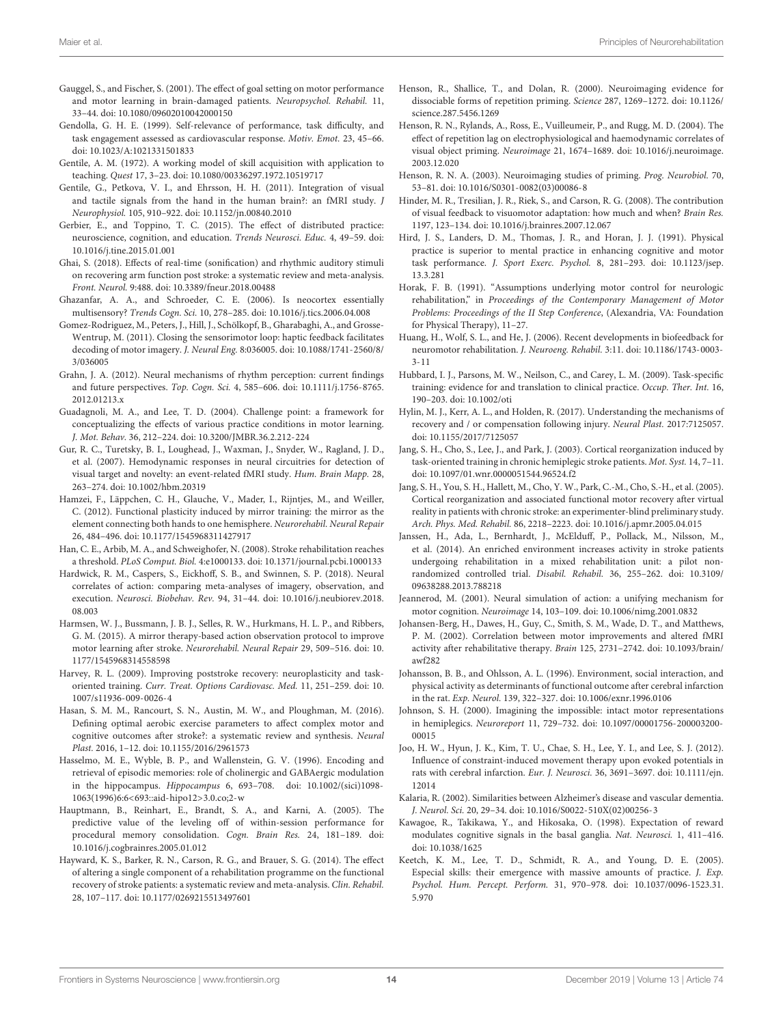- <span id="page-13-16"></span>Gauggel, S., and Fischer, S. (2001). The effect of goal setting on motor performance and motor learning in brain-damaged patients. Neuropsychol. Rehabil. 11, 33–44. [doi: 10.1080/09602010042000150](https://doi.org/10.1080/09602010042000150)
- <span id="page-13-21"></span>Gendolla, G. H. E. (1999). Self-relevance of performance, task difficulty, and task engagement assessed as cardiovascular response. Motiv. Emot. 23, 45–66. [doi: 10.1023/A:1021331501833](https://doi.org/10.1023/A:1021331501833)
- <span id="page-13-26"></span>Gentile, A. M. (1972). A working model of skill acquisition with application to teaching. Quest 17, 3–23. [doi: 10.1080/00336297.1972.10519717](https://doi.org/10.1080/00336297.1972.10519717)
- <span id="page-13-23"></span>Gentile, G., Petkova, V. I., and Ehrsson, H. H. (2011). Integration of visual and tactile signals from the hand in the human brain?: an fMRI study. J Neurophysiol. 105, 910–922. [doi: 10.1152/jn.00840.2010](https://doi.org/10.1152/jn.00840.2010)
- <span id="page-13-1"></span>Gerbier, E., and Toppino, T. C. (2015). The effect of distributed practice: neuroscience, cognition, and education. Trends Neurosci. Educ. 4, 49–59. [doi:](https://doi.org/10.1016/j.tine.2015.01.001) [10.1016/j.tine.2015.01.001](https://doi.org/10.1016/j.tine.2015.01.001)
- <span id="page-13-25"></span>Ghai, S. (2018). Effects of real-time (sonification) and rhythmic auditory stimuli on recovering arm function post stroke: a systematic review and meta-analysis. Front. Neurol. 9:488. [doi: 10.3389/fneur.2018.00488](https://doi.org/10.3389/fneur.2018.00488)
- <span id="page-13-22"></span>Ghazanfar, A. A., and Schroeder, C. E. (2006). Is neocortex essentially multisensory? Trends Cogn. Sci. 10, 278–285. [doi: 10.1016/j.tics.2006.04.008](https://doi.org/10.1016/j.tics.2006.04.008)
- <span id="page-13-5"></span>Gomez-Rodriguez, M., Peters, J., Hill, J., Schölkopf, B., Gharabaghi, A., and Grosse-Wentrup, M. (2011). Closing the sensorimotor loop: haptic feedback facilitates decoding of motor imagery. J. Neural Eng. 8:036005. [doi: 10.1088/1741-2560/8/](https://doi.org/10.1088/1741-2560/8/3/036005) [3/036005](https://doi.org/10.1088/1741-2560/8/3/036005)
- <span id="page-13-24"></span>Grahn, J. A. (2012). Neural mechanisms of rhythm perception: current findings and future perspectives. Top. Cogn. Sci. 4, 585–606. [doi: 10.1111/j.1756-8765.](https://doi.org/10.1111/j.1756-8765.2012.01213.x) [2012.01213.x](https://doi.org/10.1111/j.1756-8765.2012.01213.x)
- <span id="page-13-20"></span>Guadagnoli, M. A., and Lee, T. D. (2004). Challenge point: a framework for conceptualizing the effects of various practice conditions in motor learning. J. Mot. Behav. 36, 212–224. [doi: 10.3200/JMBR.36.2.212-224](https://doi.org/10.3200/JMBR.36.2.212-224)
- <span id="page-13-19"></span>Gur, R. C., Turetsky, B. I., Loughead, J., Waxman, J., Snyder, W., Ragland, J. D., et al. (2007). Hemodynamic responses in neural circuitries for detection of visual target and novelty: an event-related fMRI study. Hum. Brain Mapp. 28, 263–274. [doi: 10.1002/hbm.20319](https://doi.org/10.1002/hbm.20319)
- <span id="page-13-32"></span>Hamzei, F., Läppchen, C. H., Glauche, V., Mader, I., Rijntjes, M., and Weiller, C. (2012). Functional plasticity induced by mirror training: the mirror as the element connecting both hands to one hemisphere. Neurorehabil. Neural Repair 26, 484–496. [doi: 10.1177/1545968311427917](https://doi.org/10.1177/1545968311427917)
- <span id="page-13-30"></span>Han, C. E., Arbib, M. A., and Schweighofer, N. (2008). Stroke rehabilitation reaches a threshold. PLoS Comput. Biol. 4:e1000133. [doi: 10.1371/journal.pcbi.1000133](https://doi.org/10.1371/journal.pcbi.1000133)
- <span id="page-13-6"></span>Hardwick, R. M., Caspers, S., Eickhoff, S. B., and Swinnen, S. P. (2018). Neural correlates of action: comparing meta-analyses of imagery, observation, and execution. Neurosci. Biobehav. Rev. 94, 31–44. [doi: 10.1016/j.neubiorev.2018.](https://doi.org/10.1016/j.neubiorev.2018.08.003) [08.003](https://doi.org/10.1016/j.neubiorev.2018.08.003)
- <span id="page-13-31"></span>Harmsen, W. J., Bussmann, J. B. J., Selles, R. W., Hurkmans, H. L. P., and Ribbers, G. M. (2015). A mirror therapy-based action observation protocol to improve motor learning after stroke. Neurorehabil. Neural Repair 29, 509–516. [doi: 10.](https://doi.org/10.1177/1545968314558598) [1177/1545968314558598](https://doi.org/10.1177/1545968314558598)
- <span id="page-13-17"></span>Harvey, R. L. (2009). Improving poststroke recovery: neuroplasticity and taskoriented training. Curr. Treat. Options Cardiovasc. Med. 11, 251–259. [doi: 10.](https://doi.org/10.1007/s11936-009-0026-4) [1007/s11936-009-0026-4](https://doi.org/10.1007/s11936-009-0026-4)
- <span id="page-13-0"></span>Hasan, S. M. M., Rancourt, S. N., Austin, M. W., and Ploughman, M. (2016). Defining optimal aerobic exercise parameters to affect complex motor and cognitive outcomes after stroke?: a systematic review and synthesis. Neural Plast. 2016, 1–12. [doi: 10.1155/2016/2961573](https://doi.org/10.1155/2016/2961573)
- <span id="page-13-18"></span>Hasselmo, M. E., Wyble, B. P., and Wallenstein, G. V. (1996). Encoding and retrieval of episodic memories: role of cholinergic and GABAergic modulation in the hippocampus. Hippocampus 6, 693–708. [doi: 10.1002/\(sici\)1098-](https://doi.org/10.1002/(sici)1098-1063(1996)6:6<693::aid-hipo12>3.0.co;2-w) [1063\(1996\)6:6<693::aid-hipo12>3.0.co;2-w](https://doi.org/10.1002/(sici)1098-1063(1996)6:6<693::aid-hipo12>3.0.co;2-w)
- <span id="page-13-12"></span>Hauptmann, B., Reinhart, E., Brandt, S. A., and Karni, A. (2005). The predictive value of the leveling off of within-session performance for procedural memory consolidation. Cogn. Brain Res. 24, 181–189. [doi:](https://doi.org/10.1016/j.cogbrainres.2005.01.012) [10.1016/j.cogbrainres.2005.01.012](https://doi.org/10.1016/j.cogbrainres.2005.01.012)
- <span id="page-13-11"></span>Hayward, K. S., Barker, R. N., Carson, R. G., and Brauer, S. G. (2014). The effect of altering a single component of a rehabilitation programme on the functional recovery of stroke patients: a systematic review and meta-analysis. Clin. Rehabil. 28, 107–117. [doi: 10.1177/0269215513497601](https://doi.org/10.1177/0269215513497601)
- <span id="page-13-8"></span>Henson, R., Shallice, T., and Dolan, R. (2000). Neuroimaging evidence for dissociable forms of repetition priming. Science 287, 1269–1272. [doi: 10.1126/](https://doi.org/10.1126/science.287.5456.1269) [science.287.5456.1269](https://doi.org/10.1126/science.287.5456.1269)
- <span id="page-13-9"></span>Henson, R. N., Rylands, A., Ross, E., Vuilleumeir, P., and Rugg, M. D. (2004). The effect of repetition lag on electrophysiological and haemodynamic correlates of visual object priming. Neuroimage 21, 1674–1689. [doi: 10.1016/j.neuroimage.](https://doi.org/10.1016/j.neuroimage.2003.12.020) [2003.12.020](https://doi.org/10.1016/j.neuroimage.2003.12.020)
- <span id="page-13-10"></span>Henson, R. N. A. (2003). Neuroimaging studies of priming. Prog. Neurobiol. 70, 53–81. [doi: 10.1016/S0301-0082\(03\)00086-8](https://doi.org/10.1016/S0301-0082(03)00086-8)
- <span id="page-13-28"></span>Hinder, M. R., Tresilian, J. R., Riek, S., and Carson, R. G. (2008). The contribution of visual feedback to visuomotor adaptation: how much and when? Brain Res. 1197, 123–134. [doi: 10.1016/j.brainres.2007.12.067](https://doi.org/10.1016/j.brainres.2007.12.067)
- <span id="page-13-34"></span>Hird, J. S., Landers, D. M., Thomas, J. R., and Horan, J. J. (1991). Physical practice is superior to mental practice in enhancing cognitive and motor task performance. J. Sport Exerc. Psychol. 8, 281–293. [doi: 10.1123/jsep.](https://doi.org/10.1123/jsep.13.3.281) [13.3.281](https://doi.org/10.1123/jsep.13.3.281)
- <span id="page-13-15"></span>Horak, F. B. (1991). "Assumptions underlying motor control for neurologic rehabilitation," in Proceedings of the Contemporary Management of Motor Problems: Proceedings of the II Step Conference, (Alexandria, VA: Foundation for Physical Therapy), 11–27.
- <span id="page-13-27"></span>Huang, H., Wolf, S. L., and He, J. (2006). Recent developments in biofeedback for neuromotor rehabilitation. J. Neuroeng. Rehabil. 3:11. [doi: 10.1186/1743-0003-](https://doi.org/10.1186/1743-0003-3-11) [3-11](https://doi.org/10.1186/1743-0003-3-11)
- <span id="page-13-14"></span>Hubbard, I. J., Parsons, M. W., Neilson, C., and Carey, L. M. (2009). Task-specific training: evidence for and translation to clinical practice. Occup. Ther. Int. 16, 190–203. [doi: 10.1002/oti](https://doi.org/10.1002/oti)
- <span id="page-13-38"></span>Hylin, M. J., Kerr, A. L., and Holden, R. (2017). Understanding the mechanisms of recovery and / or compensation following injury. Neural Plast. 2017:7125057. [doi: 10.1155/2017/7125057](https://doi.org/10.1155/2017/7125057)
- <span id="page-13-3"></span>Jang, S. H., Cho, S., Lee, J., and Park, J. (2003). Cortical reorganization induced by task-oriented training in chronic hemiplegic stroke patients. Mot. Syst. 14, 7–11. [doi: 10.1097/01.wnr.0000051544.96524.f2](https://doi.org/10.1097/01.wnr.0000051544.96524.f2)
- <span id="page-13-29"></span>Jang, S. H., You, S. H., Hallett, M., Cho, Y. W., Park, C.-M., Cho, S.-H., et al. (2005). Cortical reorganization and associated functional motor recovery after virtual reality in patients with chronic stroke: an experimenter-blind preliminary study. Arch. Phys. Med. Rehabil. 86, 2218–2223. [doi: 10.1016/j.apmr.2005.04.015](https://doi.org/10.1016/j.apmr.2005.04.015)
- <span id="page-13-37"></span>Janssen, H., Ada, L., Bernhardt, J., McElduff, P., Pollack, M., Nilsson, M., et al. (2014). An enriched environment increases activity in stroke patients undergoing rehabilitation in a mixed rehabilitation unit: a pilot nonrandomized controlled trial. Disabil. Rehabil. 36, 255–262. [doi: 10.3109/](https://doi.org/10.3109/09638288.2013.788218) [09638288.2013.788218](https://doi.org/10.3109/09638288.2013.788218)
- <span id="page-13-33"></span>Jeannerod, M. (2001). Neural simulation of action: a unifying mechanism for motor cognition. Neuroimage 14, 103–109. [doi: 10.1006/nimg.2001.0832](https://doi.org/10.1006/nimg.2001.0832)
- <span id="page-13-4"></span>Johansen-Berg, H., Dawes, H., Guy, C., Smith, S. M., Wade, D. T., and Matthews, P. M. (2002). Correlation between motor improvements and altered fMRI activity after rehabilitative therapy. Brain 125, 2731–2742. [doi: 10.1093/brain/](https://doi.org/10.1093/brain/awf282) [awf282](https://doi.org/10.1093/brain/awf282)
- <span id="page-13-36"></span>Johansson, B. B., and Ohlsson, A. L. (1996). Environment, social interaction, and physical activity as determinants of functional outcome after cerebral infarction in the rat. Exp. Neurol. 139, 322–327. [doi: 10.1006/exnr.1996.0106](https://doi.org/10.1006/exnr.1996.0106)
- <span id="page-13-35"></span>Johnson, S. H. (2000). Imagining the impossible: intact motor representations in hemiplegics. Neuroreport 11, 729–732. [doi: 10.1097/00001756-200003200-](https://doi.org/10.1097/00001756-200003200-00015) [00015](https://doi.org/10.1097/00001756-200003200-00015)
- <span id="page-13-7"></span>Joo, H. W., Hyun, J. K., Kim, T. U., Chae, S. H., Lee, Y. I., and Lee, S. J. (2012). Influence of constraint-induced movement therapy upon evoked potentials in rats with cerebral infarction. Eur. J. Neurosci. 36, 3691–3697. [doi: 10.1111/ejn.](https://doi.org/10.1111/ejn.12014) [12014](https://doi.org/10.1111/ejn.12014)
- <span id="page-13-39"></span>Kalaria, R. (2002). Similarities between Alzheimer's disease and vascular dementia. J. Neurol. Sci. 20, 29–34. [doi: 10.1016/S0022-510X\(02\)00256-3](https://doi.org/10.1016/S0022-510X(02)00256-3)
- <span id="page-13-2"></span>Kawagoe, R., Takikawa, Y., and Hikosaka, O. (1998). Expectation of reward modulates cognitive signals in the basal ganglia. Nat. Neurosci. 1, 411–416. [doi: 10.1038/1625](https://doi.org/10.1038/1625)
- <span id="page-13-13"></span>Keetch, K. M., Lee, T. D., Schmidt, R. A., and Young, D. E. (2005). Especial skills: their emergence with massive amounts of practice. J. Exp. Psychol. Hum. Percept. Perform. 31, 970–978. [doi: 10.1037/0096-1523.31.](https://doi.org/10.1037/0096-1523.31.5.970) [5.970](https://doi.org/10.1037/0096-1523.31.5.970)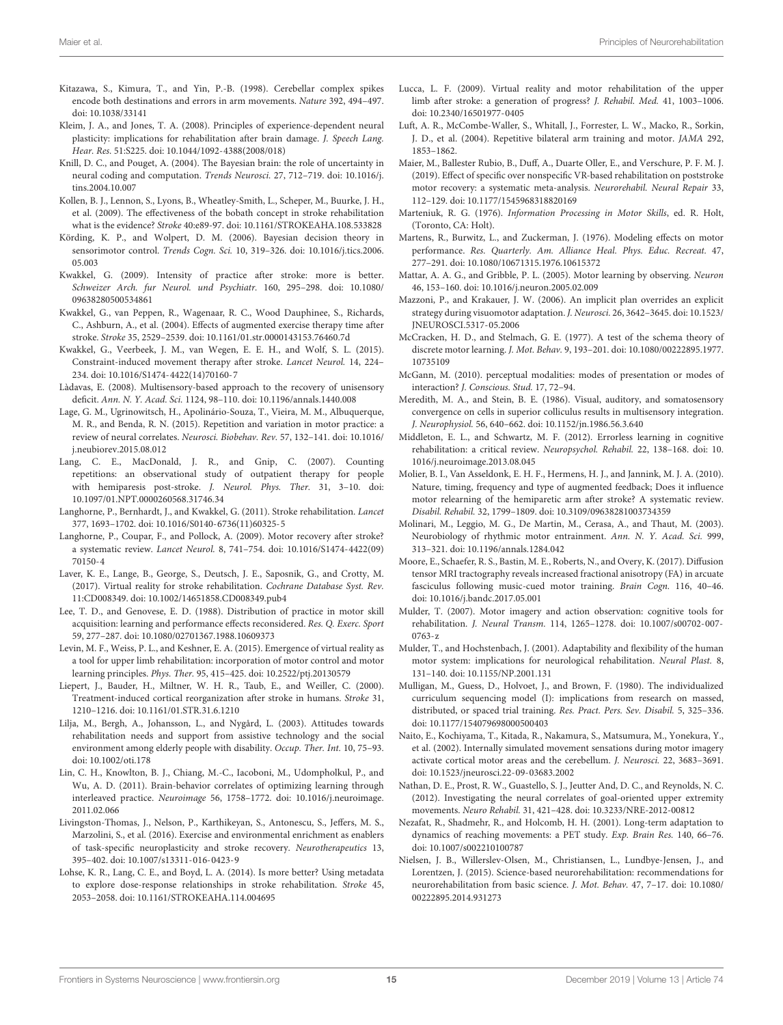- <span id="page-14-13"></span>Kitazawa, S., Kimura, T., and Yin, P.-B. (1998). Cerebellar complex spikes encode both destinations and errors in arm movements. Nature 392, 494–497. [doi: 10.1038/33141](https://doi.org/10.1038/33141)
- <span id="page-14-2"></span>Kleim, J. A., and Jones, T. A. (2008). Principles of experience-dependent neural plasticity: implications for rehabilitation after brain damage. J. Speech Lang. Hear. Res. 51:S225. [doi: 10.1044/1092-4388\(2008/018\)](https://doi.org/10.1044/1092-4388(2008/018))
- <span id="page-14-29"></span>Knill, D. C., and Pouget, A. (2004). The Bayesian brain: the role of uncertainty in neural coding and computation. Trends Neurosci. 27, 712–719. [doi: 10.1016/j.](https://doi.org/10.1016/j.tins.2004.10.007) [tins.2004.10.007](https://doi.org/10.1016/j.tins.2004.10.007)
- <span id="page-14-6"></span>Kollen, B. J., Lennon, S., Lyons, B., Wheatley-Smith, L., Scheper, M., Buurke, J. H., et al. (2009). The effectiveness of the bobath concept in stroke rehabilitation what is the evidence? Stroke 40:e89-97. [doi: 10.1161/STROKEAHA.108.533828](https://doi.org/10.1161/STROKEAHA.108.533828)
- <span id="page-14-12"></span>Körding, K. P., and Wolpert, D. M. (2006). Bayesian decision theory in sensorimotor control. Trends Cogn. Sci. 10, 319–326. [doi: 10.1016/j.tics.2006.](https://doi.org/10.1016/j.tics.2006.05.003) [05.003](https://doi.org/10.1016/j.tics.2006.05.003)
- <span id="page-14-3"></span>Kwakkel, G. (2009). Intensity of practice after stroke: more is better. Schweizer Arch. fur Neurol. und Psychiatr. 160, 295–298. [doi: 10.1080/](https://doi.org/10.1080/09638280500534861) [09638280500534861](https://doi.org/10.1080/09638280500534861)
- <span id="page-14-23"></span>Kwakkel, G., van Peppen, R., Wagenaar, R. C., Wood Dauphinee, S., Richards, C., Ashburn, A., et al. (2004). Effects of augmented exercise therapy time after stroke. Stroke 35, 2529–2539. [doi: 10.1161/01.str.0000143153.76460.7d](https://doi.org/10.1161/01.str.0000143153.76460.7d)
- <span id="page-14-0"></span>Kwakkel, G., Veerbeek, J. M., van Wegen, E. E. H., and Wolf, S. L. (2015). Constraint-induced movement therapy after stroke. Lancet Neurol. 14, 224– 234. [doi: 10.1016/S1474-4422\(14\)70160-7](https://doi.org/10.1016/S1474-4422(14)70160-7)
- <span id="page-14-32"></span>Làdavas, E. (2008). Multisensory-based approach to the recovery of unisensory deficit. Ann. N. Y. Acad. Sci. 1124, 98–110. [doi: 10.1196/annals.1440.008](https://doi.org/10.1196/annals.1440.008)
- <span id="page-14-15"></span>Lage, G. M., Ugrinowitsch, H., Apolinário-Souza, T., Vieira, M. M., Albuquerque, M. R., and Benda, R. N. (2015). Repetition and variation in motor practice: a review of neural correlates. Neurosci. Biobehav. Rev. 57, 132–141. [doi: 10.1016/](https://doi.org/10.1016/j.neubiorev.2015.08.012) [j.neubiorev.2015.08.012](https://doi.org/10.1016/j.neubiorev.2015.08.012)
- <span id="page-14-20"></span>Lang, C. E., MacDonald, J. R., and Gnip, C. (2007). Counting repetitions: an observational study of outpatient therapy for people with hemiparesis post-stroke. J. Neurol. Phys. Ther. 31, 3–10. [doi:](https://doi.org/10.1097/01.NPT.0000260568.31746.34) [10.1097/01.NPT.0000260568.31746.34](https://doi.org/10.1097/01.NPT.0000260568.31746.34)
- <span id="page-14-9"></span>Langhorne, P., Bernhardt, J., and Kwakkel, G. (2011). Stroke rehabilitation. Lancet 377, 1693–1702. [doi: 10.1016/S0140-6736\(11\)60325-5](https://doi.org/10.1016/S0140-6736(11)60325-5)
- <span id="page-14-1"></span>Langhorne, P., Coupar, F., and Pollock, A. (2009). Motor recovery after stroke? a systematic review. Lancet Neurol. 8, 741–754. [doi: 10.1016/S1474-4422\(09\)](https://doi.org/10.1016/S1474-4422(09)70150-4) [70150-4](https://doi.org/10.1016/S1474-4422(09)70150-4)
- <span id="page-14-8"></span>Laver, K. E., Lange, B., George, S., Deutsch, J. E., Saposnik, G., and Crotty, M. (2017). Virtual reality for stroke rehabilitation. Cochrane Database Syst. Rev. 11:CD008349. [doi: 10.1002/14651858.CD008349.pub4](https://doi.org/10.1002/14651858.CD008349.pub4)
- <span id="page-14-21"></span>Lee, T. D., and Genovese, E. D. (1988). Distribution of practice in motor skill acquisition: learning and performance effects reconsidered. Res. Q. Exerc. Sport 59, 277–287. [doi: 10.1080/02701367.1988.10609373](https://doi.org/10.1080/02701367.1988.10609373)
- <span id="page-14-4"></span>Levin, M. F., Weiss, P. L., and Keshner, E. A. (2015). Emergence of virtual reality as a tool for upper limb rehabilitation: incorporation of motor control and motor learning principles. Phys. Ther. 95, 415–425. [doi: 10.2522/ptj.20130579](https://doi.org/10.2522/ptj.20130579)
- <span id="page-14-14"></span>Liepert, J., Bauder, H., Miltner, W. H. R., Taub, E., and Weiller, C. (2000). Treatment-induced cortical reorganization after stroke in humans. Stroke 31, 1210–1216. [doi: 10.1161/01.STR.31.6.1210](https://doi.org/10.1161/01.STR.31.6.1210)
- <span id="page-14-41"></span>Lilja, M., Bergh, A., Johansson, L., and Nygård, L. (2003). Attitudes towards rehabilitation needs and support from assistive technology and the social environment among elderly people with disability. Occup. Ther. Int. 10, 75–93. [doi: 10.1002/oti.178](https://doi.org/10.1002/oti.178)
- <span id="page-14-16"></span>Lin, C. H., Knowlton, B. J., Chiang, M.-C., Iacoboni, M., Udompholkul, P., and Wu, A. D. (2011). Brain-behavior correlates of optimizing learning through interleaved practice. Neuroimage 56, 1758–1772. [doi: 10.1016/j.neuroimage.](https://doi.org/10.1016/j.neuroimage.2011.02.066) [2011.02.066](https://doi.org/10.1016/j.neuroimage.2011.02.066)
- <span id="page-14-7"></span>Livingston-Thomas, J., Nelson, P., Karthikeyan, S., Antonescu, S., Jeffers, M. S., Marzolini, S., et al. (2016). Exercise and environmental enrichment as enablers of task-specific neuroplasticity and stroke recovery. Neurotherapeutics 13, 395–402. [doi: 10.1007/s13311-016-0423-9](https://doi.org/10.1007/s13311-016-0423-9)
- <span id="page-14-22"></span>Lohse, K. R., Lang, C. E., and Boyd, L. A. (2014). Is more better? Using metadata to explore dose-response relationships in stroke rehabilitation. Stroke 45, 2053–2058. [doi: 10.1161/STROKEAHA.114.004695](https://doi.org/10.1161/STROKEAHA.114.004695)
- <span id="page-14-28"></span>Lucca, L. F. (2009). Virtual reality and motor rehabilitation of the upper limb after stroke: a generation of progress? J. Rehabil. Med. 41, 1003–1006. [doi: 10.2340/16501977-0405](https://doi.org/10.2340/16501977-0405)
- <span id="page-14-17"></span>Luft, A. R., McCombe-Waller, S., Whitall, J., Forrester, L. W., Macko, R., Sorkin, J. D., et al. (2004). Repetitive bilateral arm training and motor. JAMA 292, 1853–1862.
- <span id="page-14-5"></span>Maier, M., Ballester Rubio, B., Duff, A., Duarte Oller, E., and Verschure, P. F. M. J. (2019). Effect of specific over nonspecific VR-based rehabilitation on poststroke motor recovery: a systematic meta-analysis. Neurorehabil. Neural Repair 33, 112–129. [doi: 10.1177/1545968318820169](https://doi.org/10.1177/1545968318820169)
- <span id="page-14-27"></span>Marteniuk, R. G. (1976). Information Processing in Motor Skills, ed. R. Holt, (Toronto, CA: Holt).
- <span id="page-14-37"></span>Martens, R., Burwitz, L., and Zuckerman, J. (1976). Modeling effects on motor performance. Res. Quarterly. Am. Alliance Heal. Phys. Educ. Recreat. 47, 277–291. [doi: 10.1080/10671315.1976.10615372](https://doi.org/10.1080/10671315.1976.10615372)
- <span id="page-14-38"></span>Mattar, A. A. G., and Gribble, P. L. (2005). Motor learning by observing. Neuron 46, 153–160. [doi: 10.1016/j.neuron.2005.02.009](https://doi.org/10.1016/j.neuron.2005.02.009)
- <span id="page-14-34"></span>Mazzoni, P., and Krakauer, J. W. (2006). An implicit plan overrides an explicit strategy during visuomotor adaptation. J. Neurosci. 26, 3642–3645. [doi: 10.1523/](https://doi.org/10.1523/JNEUROSCI.5317-05.2006) [JNEUROSCI.5317-05.2006](https://doi.org/10.1523/JNEUROSCI.5317-05.2006)
- <span id="page-14-24"></span>McCracken, H. D., and Stelmach, G. E. (1977). A test of the schema theory of discrete motor learning. J. Mot. Behav. 9, 193–201. [doi: 10.1080/00222895.1977.](https://doi.org/10.1080/00222895.1977.10735109) [10735109](https://doi.org/10.1080/00222895.1977.10735109)
- <span id="page-14-31"></span>McGann, M. (2010). perceptual modalities: modes of presentation or modes of interaction? J. Conscious. Stud. 17, 72–94.
- <span id="page-14-30"></span>Meredith, M. A., and Stein, B. E. (1986). Visual, auditory, and somatosensory convergence on cells in superior colliculus results in multisensory integration. J. Neurophysiol. 56, 640–662. [doi: 10.1152/jn.1986.56.3.640](https://doi.org/10.1152/jn.1986.56.3.640)
- <span id="page-14-10"></span>Middleton, E. L., and Schwartz, M. F. (2012). Errorless learning in cognitive rehabilitation: a critical review. Neuropsychol. Rehabil. 22, 138–168. [doi: 10.](https://doi.org/10.1016/j.neuroimage.2013.08.045) [1016/j.neuroimage.2013.08.045](https://doi.org/10.1016/j.neuroimage.2013.08.045)
- <span id="page-14-35"></span>Molier, B. I., Van Asseldonk, E. H. F., Hermens, H. J., and Jannink, M. J. A. (2010). Nature, timing, frequency and type of augmented feedback; Does it influence motor relearning of the hemiparetic arm after stroke? A systematic review. Disabil. Rehabil. 32, 1799–1809. [doi: 10.3109/09638281003734359](https://doi.org/10.3109/09638281003734359)
- <span id="page-14-33"></span>Molinari, M., Leggio, M. G., De Martin, M., Cerasa, A., and Thaut, M. (2003). Neurobiology of rhythmic motor entrainment. Ann. N. Y. Acad. Sci. 999, 313–321. [doi: 10.1196/annals.1284.042](https://doi.org/10.1196/annals.1284.042)
- <span id="page-14-19"></span>Moore, E., Schaefer, R. S., Bastin, M. E., Roberts, N., and Overy, K. (2017). Diffusion tensor MRI tractography reveals increased fractional anisotropy (FA) in arcuate fasciculus following music-cued motor training. Brain Cogn. 116, 40–46. [doi: 10.1016/j.bandc.2017.05.001](https://doi.org/10.1016/j.bandc.2017.05.001)
- <span id="page-14-39"></span>Mulder, T. (2007). Motor imagery and action observation: cognitive tools for rehabilitation. J. Neural Transm. 114, 1265–1278. [doi: 10.1007/s00702-007-](https://doi.org/10.1007/s00702-007-0763-z) [0763-z](https://doi.org/10.1007/s00702-007-0763-z)
- <span id="page-14-25"></span>Mulder, T., and Hochstenbach, J. (2001). Adaptability and flexibility of the human motor system: implications for neurological rehabilitation. Neural Plast. 8, 131–140. [doi: 10.1155/NP.2001.131](https://doi.org/10.1155/NP.2001.131)
- <span id="page-14-11"></span>Mulligan, M., Guess, D., Holvoet, J., and Brown, F. (1980). The individualized curriculum sequencing model (I): implications from research on massed, distributed, or spaced trial training. Res. Pract. Pers. Sev. Disabil. 5, 325–336. [doi: 10.1177/154079698000500403](https://doi.org/10.1177/154079698000500403)
- <span id="page-14-40"></span>Naito, E., Kochiyama, T., Kitada, R., Nakamura, S., Matsumura, M., Yonekura, Y., et al. (2002). Internally simulated movement sensations during motor imagery activate cortical motor areas and the cerebellum. J. Neurosci. 22, 3683–3691. [doi: 10.1523/jneurosci.22-09-03683.2002](https://doi.org/10.1523/jneurosci.22-09-03683.2002)
- <span id="page-14-18"></span>Nathan, D. E., Prost, R. W., Guastello, S. J., Jeutter And, D. C., and Reynolds, N. C. (2012). Investigating the neural correlates of goal-oriented upper extremity movements. Neuro Rehabil. 31, 421–428. [doi: 10.3233/NRE-2012-00812](https://doi.org/10.3233/NRE-2012-00812)
- <span id="page-14-36"></span>Nezafat, R., Shadmehr, R., and Holcomb, H. H. (2001). Long-term adaptation to dynamics of reaching movements: a PET study. Exp. Brain Res. 140, 66–76. [doi: 10.1007/s002210100787](https://doi.org/10.1007/s002210100787)
- <span id="page-14-26"></span>Nielsen, J. B., Willerslev-Olsen, M., Christiansen, L., Lundbye-Jensen, J., and Lorentzen, J. (2015). Science-based neurorehabilitation: recommendations for neurorehabilitation from basic science. J. Mot. Behav. 47, 7–17. [doi: 10.1080/](https://doi.org/10.1080/00222895.2014.931273) [00222895.2014.931273](https://doi.org/10.1080/00222895.2014.931273)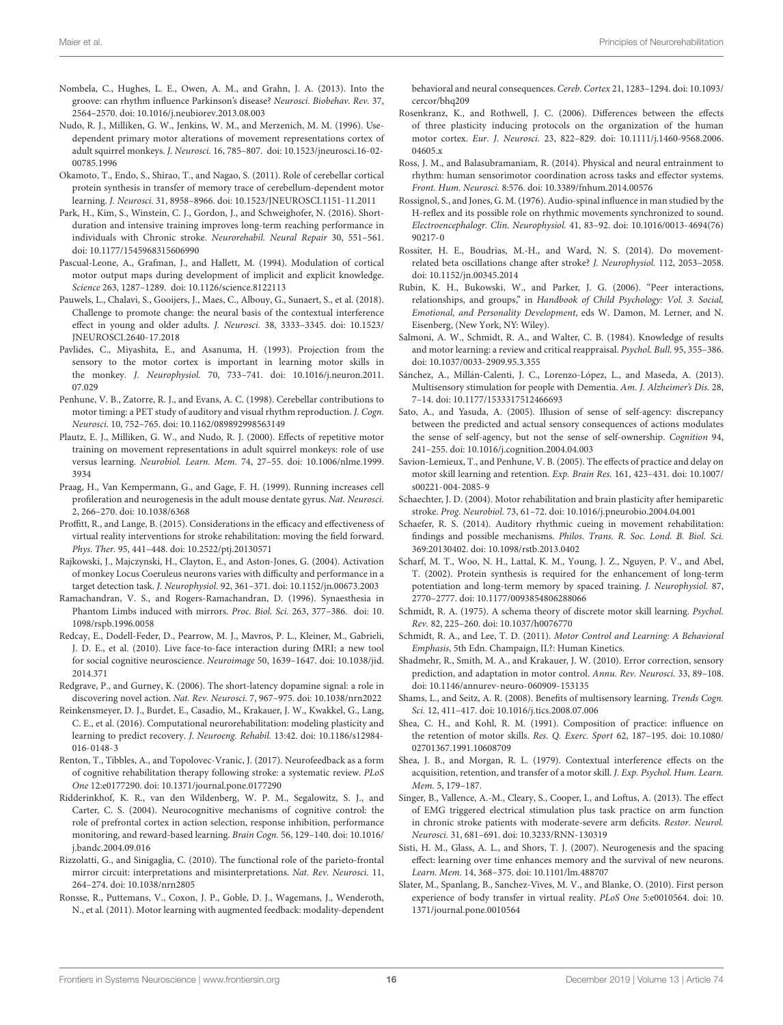- <span id="page-15-28"></span>Nombela, C., Hughes, L. E., Owen, A. M., and Grahn, J. A. (2013). Into the groove: can rhythm influence Parkinson's disease? Neurosci. Biobehav. Rev. 37, 2564–2570. [doi: 10.1016/j.neubiorev.2013.08.003](https://doi.org/10.1016/j.neubiorev.2013.08.003)
- <span id="page-15-14"></span>Nudo, R. J., Milliken, G. W., Jenkins, W. M., and Merzenich, M. M. (1996). Usedependent primary motor alterations of movement representations cortex of adult squirrel monkeys. J. Neurosci. 16, 785–807. [doi: 10.1523/jneurosci.16-02-](https://doi.org/10.1523/jneurosci.16-02-00785.1996) [00785.1996](https://doi.org/10.1523/jneurosci.16-02-00785.1996)
- <span id="page-15-13"></span>Okamoto, T., Endo, S., Shirao, T., and Nagao, S. (2011). Role of cerebellar cortical protein synthesis in transfer of memory trace of cerebellum-dependent motor learning. J. Neurosci. 31, 8958–8966. [doi: 10.1523/JNEUROSCI.1151-11.2011](https://doi.org/10.1523/JNEUROSCI.1151-11.2011)
- <span id="page-15-19"></span>Park, H., Kim, S., Winstein, C. J., Gordon, J., and Schweighofer, N. (2016). Shortduration and intensive training improves long-term reaching performance in individuals with Chronic stroke. Neurorehabil. Neural Repair 30, 551–561. [doi: 10.1177/1545968315606990](https://doi.org/10.1177/1545968315606990)
- <span id="page-15-30"></span>Pascual-Leone, A., Grafman, J., and Hallett, M. (1994). Modulation of cortical motor output maps during development of implicit and explicit knowledge. Science 263, 1287–1289. [doi: 10.1126/science.8122113](https://doi.org/10.1126/science.8122113)
- <span id="page-15-20"></span>Pauwels, L., Chalavi, S., Gooijers, J., Maes, C., Albouy, G., Sunaert, S., et al. (2018). Challenge to promote change: the neural basis of the contextual interference effect in young and older adults. J. Neurosci. 38, 3333–3345. [doi: 10.1523/](https://doi.org/10.1523/JNEUROSCI.2640-17.2018) [JNEUROSCI.2640-17.2018](https://doi.org/10.1523/JNEUROSCI.2640-17.2018)
- <span id="page-15-24"></span>Pavlides, C., Miyashita, E., and Asanuma, H. (1993). Projection from the sensory to the motor cortex is important in learning motor skills in the monkey. J. Neurophysiol. 70, 733–741. [doi: 10.1016/j.neuron.2011.](https://doi.org/10.1016/j.neuron.2011.07.029) [07.029](https://doi.org/10.1016/j.neuron.2011.07.029)
- <span id="page-15-38"></span>Penhune, V. B., Zatorre, R. J., and Evans, A. C. (1998). Cerebellar contributions to motor timing: a PET study of auditory and visual rhythm reproduction. J. Cogn. Neurosci. 10, 752–765. [doi: 10.1162/089892998563149](https://doi.org/10.1162/089892998563149)
- <span id="page-15-3"></span>Plautz, E. J., Milliken, G. W., and Nudo, R. J. (2000). Effects of repetitive motor training on movement representations in adult squirrel monkeys: role of use versus learning. Neurobiol. Learn. Mem. 74, 27–55. [doi: 10.1006/nlme.1999.](https://doi.org/10.1006/nlme.1999.3934) [3934](https://doi.org/10.1006/nlme.1999.3934)
- <span id="page-15-12"></span>Praag, H., Van Kempermann, G., and Gage, F. H. (1999). Running increases cell profileration and neurogenesis in the adult mouse dentate gyrus. Nat. Neurosci. 2, 266–270. [doi: 10.1038/6368](https://doi.org/10.1038/6368)
- <span id="page-15-0"></span>Proffitt, R., and Lange, B. (2015). Considerations in the efficacy and effectiveness of virtual reality interventions for stroke rehabilitation: moving the field forward. Phys. Ther. 95, 441–448. [doi: 10.2522/ptj.20130571](https://doi.org/10.2522/ptj.20130571)
- <span id="page-15-22"></span>Rajkowski, J., Majczynski, H., Clayton, E., and Aston-Jones, G. (2004). Activation of monkey Locus Coeruleus neurons varies with difficulty and performance in a target detection task. J. Neurophysiol. 92, 361–371. [doi: 10.1152/jn.00673.2003](https://doi.org/10.1152/jn.00673.2003)
- <span id="page-15-35"></span>Ramachandran, V. S., and Rogers-Ramachandran, D. (1996). Synaesthesia in Phantom Limbs induced with mirrors. Proc. Biol. Sci. 263, 377–386. [doi: 10.](https://doi.org/10.1098/rspb.1996.0058) [1098/rspb.1996.0058](https://doi.org/10.1098/rspb.1996.0058)
- <span id="page-15-10"></span>Redcay, E., Dodell-Feder, D., Pearrow, M. J., Mavros, P. L., Kleiner, M., Gabrieli, J. D. E., et al. (2010). Live face-to-face interaction during fMRI; a new tool for social cognitive neuroscience. Neuroimage 50, 1639–1647. [doi: 10.1038/jid.](https://doi.org/10.1038/jid.2014.371) [2014.371](https://doi.org/10.1038/jid.2014.371)
- <span id="page-15-21"></span>Redgrave, P., and Gurney, K. (2006). The short-latency dopamine signal: a role in discovering novel action. Nat. Rev. Neurosci. 7, 967–975. [doi: 10.1038/nrn2022](https://doi.org/10.1038/nrn2022)
- <span id="page-15-39"></span>Reinkensmeyer, D. J., Burdet, E., Casadio, M., Krakauer, J. W., Kwakkel, G., Lang, C. E., et al. (2016). Computational neurorehabilitation: modeling plasticity and learning to predict recovery. J. Neuroeng. Rehabil. 13:42. [doi: 10.1186/s12984-](https://doi.org/10.1186/s12984-016-0148-3) [016-0148-3](https://doi.org/10.1186/s12984-016-0148-3)
- <span id="page-15-1"></span>Renton, T., Tibbles, A., and Topolovec-Vranic, J. (2017). Neurofeedback as a form of cognitive rehabilitation therapy following stroke: a systematic review. PLoS One 12:e0177290. [doi: 10.1371/journal.pone.0177290](https://doi.org/10.1371/journal.pone.0177290)
- <span id="page-15-15"></span>Ridderinkhof, K. R., van den Wildenberg, W. P. M., Segalowitz, S. J., and Carter, C. S. (2004). Neurocognitive mechanisms of cognitive control: the role of prefrontal cortex in action selection, response inhibition, performance monitoring, and reward-based learning. Brain Cogn. 56, 129–140. [doi: 10.1016/](https://doi.org/10.1016/j.bandc.2004.09.016) [j.bandc.2004.09.016](https://doi.org/10.1016/j.bandc.2004.09.016)
- <span id="page-15-32"></span>Rizzolatti, G., and Sinigaglia, C. (2010). The functional role of the parieto-frontal mirror circuit: interpretations and misinterpretations. Nat. Rev. Neurosci. 11, 264–274. [doi: 10.1038/nrn2805](https://doi.org/10.1038/nrn2805)
- <span id="page-15-9"></span>Ronsse, R., Puttemans, V., Coxon, J. P., Goble, D. J., Wagemans, J., Wenderoth, N., et al. (2011). Motor learning with augmented feedback: modality-dependent

behavioral and neural consequences. Cereb. Cortex 21, 1283–1294. [doi: 10.1093/](https://doi.org/10.1093/cercor/bhq209) [cercor/bhq209](https://doi.org/10.1093/cercor/bhq209)

- <span id="page-15-8"></span>Rosenkranz, K., and Rothwell, J. C. (2006). Differences between the effects of three plasticity inducing protocols on the organization of the human motor cortex. Eur. J. Neurosci. 23, 822–829. [doi: 10.1111/j.1460-9568.2006.](https://doi.org/10.1111/j.1460-9568.2006.04605.x) 04605 x
- <span id="page-15-25"></span>Ross, J. M., and Balasubramaniam, R. (2014). Physical and neural entrainment to rhythm: human sensorimotor coordination across tasks and effector systems. Front. Hum. Neurosci. 8:576. [doi: 10.3389/fnhum.2014.00576](https://doi.org/10.3389/fnhum.2014.00576)
- <span id="page-15-26"></span>Rossignol, S., and Jones, G. M. (1976). Audio-spinal influence in man studied by the H-reflex and its possible role on rhythmic movements synchronized to sound. Electroencephalogr. Clin. Neurophysiol. 41, 83–92. [doi: 10.1016/0013-4694\(76\)](https://doi.org/10.1016/0013-4694(76)90217-0) [90217-0](https://doi.org/10.1016/0013-4694(76)90217-0)
- <span id="page-15-40"></span>Rossiter, H. E., Boudrias, M.-H., and Ward, N. S. (2014). Do movementrelated beta oscillations change after stroke? J. Neurophysiol. 112, 2053–2058. [doi: 10.1152/jn.00345.2014](https://doi.org/10.1152/jn.00345.2014)
- <span id="page-15-36"></span>Rubin, K. H., Bukowski, W., and Parker, J. G. (2006). "Peer interactions, relationships, and groups," in Handbook of Child Psychology: Vol. 3. Social, Emotional, and Personality Development, eds W. Damon, M. Lerner, and N. Eisenberg, (New York, NY: Wiley).
- <span id="page-15-29"></span>Salmoni, A. W., Schmidt, R. A., and Walter, C. B. (1984). Knowledge of results and motor learning: a review and critical reappraisal. Psychol. Bull. 95, 355–386. [doi: 10.1037/0033-2909.95.3.355](https://doi.org/10.1037/0033-2909.95.3.355)
- <span id="page-15-37"></span>Sánchez, A., Millán-Calenti, J. C., Lorenzo-López, L., and Maseda, A. (2013). Multisensory stimulation for people with Dementia. Am. J. Alzheimer's Dis. 28, 7–14. [doi: 10.1177/1533317512466693](https://doi.org/10.1177/1533317512466693)
- <span id="page-15-33"></span>Sato, A., and Yasuda, A. (2005). Illusion of sense of self-agency: discrepancy between the predicted and actual sensory consequences of actions modulates the sense of self-agency, but not the sense of self-ownership. Cognition 94, 241–255. [doi: 10.1016/j.cognition.2004.04.003](https://doi.org/10.1016/j.cognition.2004.04.003)
- <span id="page-15-11"></span>Savion-Lemieux, T., and Penhune, V. B. (2005). The effects of practice and delay on motor skill learning and retention. Exp. Brain Res. 161, 423–431. [doi: 10.1007/](https://doi.org/10.1007/s00221-004-2085-9) [s00221-004-2085-9](https://doi.org/10.1007/s00221-004-2085-9)
- <span id="page-15-7"></span>Schaechter, J. D. (2004). Motor rehabilitation and brain plasticity after hemiparetic stroke. Prog. Neurobiol. 73, 61–72. [doi: 10.1016/j.pneurobio.2004.04.001](https://doi.org/10.1016/j.pneurobio.2004.04.001)
- <span id="page-15-27"></span>Schaefer, R. S. (2014). Auditory rhythmic cueing in movement rehabilitation: findings and possible mechanisms. Philos. Trans. R. Soc. Lond. B. Biol. Sci. 369:20130402. [doi: 10.1098/rstb.2013.0402](https://doi.org/10.1098/rstb.2013.0402)
- <span id="page-15-5"></span>Scharf, M. T., Woo, N. H., Lattal, K. M., Young, J. Z., Nguyen, P. V., and Abel, T. (2002). Protein synthesis is required for the enhancement of long-term potentiation and long-term memory by spaced training. J. Neurophysiol. 87, 2770–2777. [doi: 10.1177/0093854806288066](https://doi.org/10.1177/0093854806288066)
- <span id="page-15-17"></span>Schmidt, R. A. (1975). A schema theory of discrete motor skill learning. Psychol. Rev. 82, 225–260. [doi: 10.1037/h0076770](https://doi.org/10.1037/h0076770)
- <span id="page-15-2"></span>Schmidt, R. A., and Lee, T. D. (2011). Motor Control and Learning: A Behavioral Emphasis, 5th Edn. Champaign, IL?: Human Kinetics.
- <span id="page-15-31"></span>Shadmehr, R., Smith, M. A., and Krakauer, J. W. (2010). Error correction, sensory prediction, and adaptation in motor control. Annu. Rev. Neurosci. 33, 89–108. [doi: 10.1146/annurev-neuro-060909-153135](https://doi.org/10.1146/annurev-neuro-060909-153135)
- <span id="page-15-23"></span>Shams, L., and Seitz, A. R. (2008). Benefits of multisensory learning. Trends Cogn. Sci. 12, 411–417. [doi: 10.1016/j.tics.2008.07.006](https://doi.org/10.1016/j.tics.2008.07.006)
- <span id="page-15-18"></span>Shea, C. H., and Kohl, R. M. (1991). Composition of practice: influence on the retention of motor skills. Res. Q. Exerc. Sport 62, 187–195. [doi: 10.1080/](https://doi.org/10.1080/02701367.1991.10608709) [02701367.1991.10608709](https://doi.org/10.1080/02701367.1991.10608709)
- <span id="page-15-4"></span>Shea, J. B., and Morgan, R. L. (1979). Contextual interference effects on the acquisition, retention, and transfer of a motor skill. J. Exp. Psychol. Hum. Learn. Mem. 5, 179–187.
- <span id="page-15-16"></span>Singer, B., Vallence, A.-M., Cleary, S., Cooper, I., and Loftus, A. (2013). The effect of EMG triggered electrical stimulation plus task practice on arm function in chronic stroke patients with moderate-severe arm deficits. Restor. Neurol. Neurosci. 31, 681–691. [doi: 10.3233/RNN-130319](https://doi.org/10.3233/RNN-130319)
- <span id="page-15-6"></span>Sisti, H. M., Glass, A. L., and Shors, T. J. (2007). Neurogenesis and the spacing effect: learning over time enhances memory and the survival of new neurons. Learn. Mem. 14, 368–375. [doi: 10.1101/lm.488707](https://doi.org/10.1101/lm.488707)
- <span id="page-15-34"></span>Slater, M., Spanlang, B., Sanchez-Vives, M. V., and Blanke, O. (2010). First person experience of body transfer in virtual reality. PLoS One 5:e0010564. [doi: 10.](https://doi.org/10.1371/journal.pone.0010564) [1371/journal.pone.0010564](https://doi.org/10.1371/journal.pone.0010564)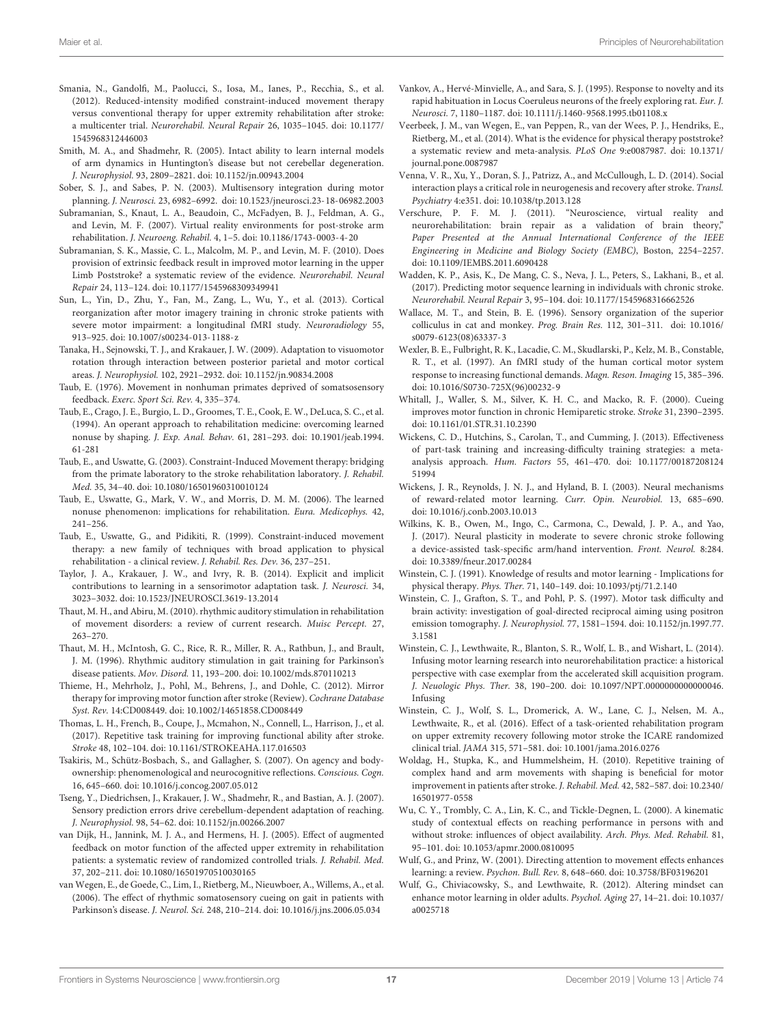- <span id="page-16-33"></span>Smania, N., Gandolfi, M., Paolucci, S., Iosa, M., Ianes, P., Recchia, S., et al. (2012). Reduced-intensity modified constraint-induced movement therapy versus conventional therapy for upper extremity rehabilitation after stroke: a multicenter trial. Neurorehabil. Neural Repair 26, 1035–1045. [doi: 10.1177/](https://doi.org/10.1177/1545968312446003) [1545968312446003](https://doi.org/10.1177/1545968312446003)
- <span id="page-16-29"></span>Smith, M. A., and Shadmehr, R. (2005). Intact ability to learn internal models of arm dynamics in Huntington's disease but not cerebellar degeneration. J. Neurophysiol. 93, 2809–2821. [doi: 10.1152/jn.00943.2004](https://doi.org/10.1152/jn.00943.2004)
- <span id="page-16-18"></span>Sober, S. J., and Sabes, P. N. (2003). Multisensory integration during motor planning. J. Neurosci. 23, 6982–6992. [doi: 10.1523/jneurosci.23-18-06982.2003](https://doi.org/10.1523/jneurosci.23-18-06982.2003)
- <span id="page-16-28"></span>Subramanian, S., Knaut, L. A., Beaudoin, C., McFadyen, B. J., Feldman, A. G., and Levin, M. F. (2007). Virtual reality environments for post-stroke arm rehabilitation. J. Neuroeng. Rehabil. 4, 1–5. [doi: 10.1186/1743-0003-4-20](https://doi.org/10.1186/1743-0003-4-20)
- <span id="page-16-24"></span>Subramanian, S. K., Massie, C. L., Malcolm, M. P., and Levin, M. F. (2010). Does provision of extrinsic feedback result in improved motor learning in the upper Limb Poststroke? a systematic review of the evidence. Neurorehabil. Neural Repair 24, 113–124. [doi: 10.1177/1545968309349941](https://doi.org/10.1177/1545968309349941)
- <span id="page-16-38"></span>Sun, L., Yin, D., Zhu, Y., Fan, M., Zang, L., Wu, Y., et al. (2013). Cortical reorganization after motor imagery training in chronic stroke patients with severe motor impairment: a longitudinal fMRI study. Neuroradiology 55, 913–925. [doi: 10.1007/s00234-013-1188-z](https://doi.org/10.1007/s00234-013-1188-z)
- <span id="page-16-31"></span>Tanaka, H., Sejnowski, T. J., and Krakauer, J. W. (2009). Adaptation to visuomotor rotation through interaction between posterior parietal and motor cortical areas. J. Neurophysiol. 102, 2921–2932. [doi: 10.1152/jn.90834.2008](https://doi.org/10.1152/jn.90834.2008)
- <span id="page-16-13"></span>Taub, E. (1976). Movement in nonhuman primates deprived of somatsosensory feedback. Exerc. Sport Sci. Rev. 4, 335–374.
- <span id="page-16-15"></span>Taub, E., Crago, J. E., Burgio, L. D., Groomes, T. E., Cook, E. W., DeLuca, S. C., et al. (1994). An operant approach to rehabilitation medicine: overcoming learned nonuse by shaping. J. Exp. Anal. Behav. 61, 281–293. [doi: 10.1901/jeab.1994.](https://doi.org/10.1901/jeab.1994.61-281) [61-281](https://doi.org/10.1901/jeab.1994.61-281)
- <span id="page-16-14"></span>Taub, E., and Uswatte, G. (2003). Constraint-Induced Movement therapy: bridging from the primate laboratory to the stroke rehabilitation laboratory. J. Rehabil. Med. 35, 34–40. [doi: 10.1080/16501960310010124](https://doi.org/10.1080/16501960310010124)
- <span id="page-16-32"></span>Taub, E., Uswatte, G., Mark, V. W., and Morris, D. M. M. (2006). The learned nonuse phenomenon: implications for rehabilitation. Eura. Medicophys. 42, 241–256.
- <span id="page-16-3"></span>Taub, E., Uswatte, G., and Pidikiti, R. (1999). Constraint-induced movement therapy: a new family of techniques with broad application to physical rehabilitation - a clinical review. J. Rehabil. Res. Dev. 36, 237–251.
- <span id="page-16-25"></span>Taylor, J. A., Krakauer, J. W., and Ivry, R. B. (2014). Explicit and implicit contributions to learning in a sensorimotor adaptation task. J. Neurosci. 34, 3023–3032. [doi: 10.1523/JNEUROSCI.3619-13.2014](https://doi.org/10.1523/JNEUROSCI.3619-13.2014)
- <span id="page-16-21"></span>Thaut, M. H., and Abiru, M. (2010). rhythmic auditory stimulation in rehabilitation of movement disorders: a review of current research. Muisc Percept. 27, 263–270.
- <span id="page-16-19"></span>Thaut, M. H., McIntosh, G. C., Rice, R. R., Miller, R. A., Rathbun, J., and Brault, J. M. (1996). Rhythmic auditory stimulation in gait training for Parkinson's disease patients. Mov. Disord. 11, 193–200. [doi: 10.1002/mds.870110213](https://doi.org/10.1002/mds.870110213)
- <span id="page-16-34"></span>Thieme, H., Mehrholz, J., Pohl, M., Behrens, J., and Dohle, C. (2012). Mirror therapy for improving motor function after stroke (Review). Cochrane Database Syst. Rev. 14:CD008449. [doi: 10.1002/14651858.CD008449](https://doi.org/10.1002/14651858.CD008449)
- <span id="page-16-1"></span>Thomas, L. H., French, B., Coupe, J., Mcmahon, N., Connell, L., Harrison, J., et al. (2017). Repetitive task training for improving functional ability after stroke. Stroke 48, 102–104. [doi: 10.1161/STROKEAHA.117.016503](https://doi.org/10.1161/STROKEAHA.117.016503)
- <span id="page-16-35"></span>Tsakiris, M., Schütz-Bosbach, S., and Gallagher, S. (2007). On agency and bodyownership: phenomenological and neurocognitive reflections. Conscious. Cogn. 16, 645–660. [doi: 10.1016/j.concog.2007.05.012](https://doi.org/10.1016/j.concog.2007.05.012)
- <span id="page-16-30"></span>Tseng, Y., Diedrichsen, J., Krakauer, J. W., Shadmehr, R., and Bastian, A. J. (2007). Sensory prediction errors drive cerebellum-dependent adaptation of reaching. J. Neurophysiol. 98, 54–62. [doi: 10.1152/jn.00266.2007](https://doi.org/10.1152/jn.00266.2007)
- <span id="page-16-27"></span>van Dijk, H., Jannink, M. J. A., and Hermens, H. J. (2005). Effect of augmented feedback on motor function of the affected upper extremity in rehabilitation patients: a systematic review of randomized controlled trials. J. Rehabil. Med. 37, 202–211. [doi: 10.1080/16501970510030165](https://doi.org/10.1080/16501970510030165)
- <span id="page-16-20"></span>van Wegen, E., de Goede, C., Lim, I., Rietberg, M., Nieuwboer, A., Willems, A., et al. (2006). The effect of rhythmic somatosensory cueing on gait in patients with Parkinson's disease. J. Neurol. Sci. 248, 210–214. [doi: 10.1016/j.jns.2006.05.034](https://doi.org/10.1016/j.jns.2006.05.034)
- <span id="page-16-11"></span>Vankov, A., Hervé-Minvielle, A., and Sara, S. J. (1995). Response to novelty and its rapid habituation in Locus Coeruleus neurons of the freely exploring rat. Eur. J. Neurosci. 7, 1180–1187. [doi: 10.1111/j.1460-9568.1995.tb01108.x](https://doi.org/10.1111/j.1460-9568.1995.tb01108.x)
- <span id="page-16-0"></span>Veerbeek, J. M., van Wegen, E., van Peppen, R., van der Wees, P. J., Hendriks, E., Rietberg, M., et al. (2014). What is the evidence for physical therapy poststroke? a systematic review and meta-analysis. PLoS One 9:e0087987. [doi: 10.1371/](https://doi.org/10.1371/journal.pone.0087987) [journal.pone.0087987](https://doi.org/10.1371/journal.pone.0087987)
- <span id="page-16-37"></span>Venna, V. R., Xu, Y., Doran, S. J., Patrizz, A., and McCullough, L. D. (2014). Social interaction plays a critical role in neurogenesis and recovery after stroke. Transl. Psychiatry 4:e351. [doi: 10.1038/tp.2013.128](https://doi.org/10.1038/tp.2013.128)
- <span id="page-16-39"></span>Verschure, P. F. M. J. (2011). "Neuroscience, virtual reality and neurorehabilitation: brain repair as a validation of brain theory," Paper Presented at the Annual International Conference of the IEEE Engineering in Medicine and Biology Society (EMBC), Boston, 2254–2257. [doi: 10.1109/IEMBS.2011.6090428](https://doi.org/10.1109/IEMBS.2011.6090428)
- <span id="page-16-7"></span>Wadden, K. P., Asis, K., De Mang, C. S., Neva, J. L., Peters, S., Lakhani, B., et al. (2017). Predicting motor sequence learning in individuals with chronic stroke. Neurorehabil. Neural Repair 3, 95–104. [doi: 10.1177/1545968316662526](https://doi.org/10.1177/1545968316662526)
- <span id="page-16-17"></span>Wallace, M. T., and Stein, B. E. (1996). Sensory organization of the superior colliculus in cat and monkey. Prog. Brain Res. 112, 301–311. [doi: 10.1016/](https://doi.org/10.1016/s0079-6123(08)63337-3) [s0079-6123\(08\)63337-3](https://doi.org/10.1016/s0079-6123(08)63337-3)
- <span id="page-16-5"></span>Wexler, B. E., Fulbright, R. K., Lacadie, C. M., Skudlarski, P., Kelz, M. B., Constable, R. T., et al. (1997). An fMRI study of the human cortical motor system response to increasing functional demands. Magn. Reson. Imaging 15, 385–396. [doi: 10.1016/S0730-725X\(96\)00232-9](https://doi.org/10.1016/S0730-725X(96)00232-9)
- <span id="page-16-22"></span>Whitall, J., Waller, S. M., Silver, K. H. C., and Macko, R. F. (2000). Cueing improves motor function in chronic Hemiparetic stroke. Stroke 31, 2390–2395. [doi: 10.1161/01.STR.31.10.2390](https://doi.org/10.1161/01.STR.31.10.2390)
- <span id="page-16-12"></span>Wickens, C. D., Hutchins, S., Carolan, T., and Cumming, J. (2013). Effectiveness of part-task training and increasing-difficulty training strategies: a metaanalysis approach. Hum. Factors 55, 461–470. [doi: 10.1177/00187208124](https://doi.org/10.1177/0018720812451994) [51994](https://doi.org/10.1177/0018720812451994)
- <span id="page-16-26"></span>Wickens, J. R., Reynolds, J. N. J., and Hyland, B. I. (2003). Neural mechanisms of reward-related motor learning. Curr. Opin. Neurobiol. 13, 685–690. [doi: 10.1016/j.conb.2003.10.013](https://doi.org/10.1016/j.conb.2003.10.013)
- <span id="page-16-4"></span>Wilkins, K. B., Owen, M., Ingo, C., Carmona, C., Dewald, J. P. A., and Yao, J. (2017). Neural plasticity in moderate to severe chronic stroke following a device-assisted task-specific arm/hand intervention. Front. Neurol. 8:284. [doi: 10.3389/fneur.2017.00284](https://doi.org/10.3389/fneur.2017.00284)
- <span id="page-16-23"></span>Winstein, C. J. (1991). Knowledge of results and motor learning - Implications for physical therapy. Phys. Ther. 71, 140–149. [doi: 10.1093/ptj/71.2.140](https://doi.org/10.1093/ptj/71.2.140)
- <span id="page-16-6"></span>Winstein, C. J., Grafton, S. T., and Pohl, P. S. (1997). Motor task difficulty and brain activity: investigation of goal-directed reciprocal aiming using positron emission tomography. J. Neurophysiol. 77, 1581–1594. [doi: 10.1152/jn.1997.77.](https://doi.org/10.1152/jn.1997.77.3.1581) [3.1581](https://doi.org/10.1152/jn.1997.77.3.1581)
- <span id="page-16-2"></span>Winstein, C. J., Lewthwaite, R., Blanton, S. R., Wolf, L. B., and Wishart, L. (2014). Infusing motor learning research into neurorehabilitation practice: a historical perspective with case exemplar from the accelerated skill acquisition program. J. Neuologic Phys. Ther. 38, 190–200. [doi: 10.1097/NPT.0000000000000046.](https://doi.org/10.1097/NPT.0000000000000046.Infusing) [Infusing](https://doi.org/10.1097/NPT.0000000000000046.Infusing)
- <span id="page-16-8"></span>Winstein, C. J., Wolf, S. L., Dromerick, A. W., Lane, C. J., Nelsen, M. A., Lewthwaite, R., et al. (2016). Effect of a task-oriented rehabilitation program on upper extremity recovery following motor stroke the ICARE randomized clinical trial. JAMA 315, 571–581. [doi: 10.1001/jama.2016.0276](https://doi.org/10.1001/jama.2016.0276)
- <span id="page-16-16"></span>Woldag, H., Stupka, K., and Hummelsheim, H. (2010). Repetitive training of complex hand and arm movements with shaping is beneficial for motor improvement in patients after stroke. J. Rehabil. Med. 42, 582–587. [doi: 10.2340/](https://doi.org/10.2340/16501977-0558) [16501977-0558](https://doi.org/10.2340/16501977-0558)
- <span id="page-16-10"></span>Wu, C. Y., Trombly, C. A., Lin, K. C., and Tickle-Degnen, L. (2000). A kinematic study of contextual effects on reaching performance in persons with and without stroke: influences of object availability. Arch. Phys. Med. Rehabil. 81, 95–101. [doi: 10.1053/apmr.2000.0810095](https://doi.org/10.1053/apmr.2000.0810095)
- <span id="page-16-9"></span>Wulf, G., and Prinz, W. (2001). Directing attention to movement effects enhances learning: a review. Psychon. Bull. Rev. 8, 648–660. [doi: 10.3758/BF03196201](https://doi.org/10.3758/BF03196201)
- <span id="page-16-36"></span>Wulf, G., Chiviacowsky, S., and Lewthwaite, R. (2012). Altering mindset can enhance motor learning in older adults. Psychol. Aging 27, 14–21. [doi: 10.1037/](https://doi.org/10.1037/a0025718) [a0025718](https://doi.org/10.1037/a0025718)